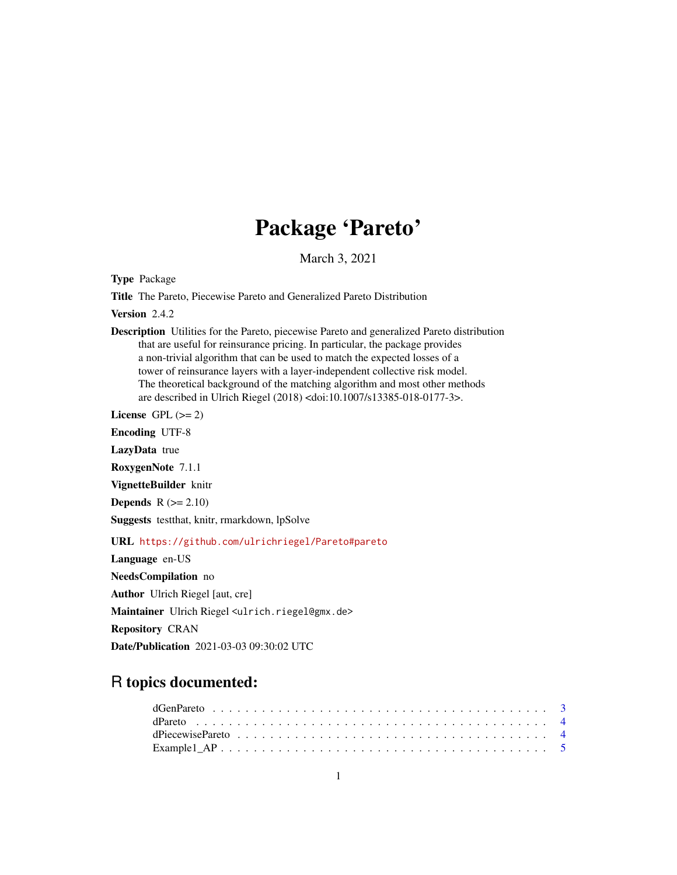# Package 'Pareto'

March 3, 2021

Type Package

Title The Pareto, Piecewise Pareto and Generalized Pareto Distribution

Version 2.4.2

Description Utilities for the Pareto, piecewise Pareto and generalized Pareto distribution that are useful for reinsurance pricing. In particular, the package provides a non-trivial algorithm that can be used to match the expected losses of a tower of reinsurance layers with a layer-independent collective risk model. The theoretical background of the matching algorithm and most other methods are described in Ulrich Riegel (2018) <doi:10.1007/s13385-018-0177-3>.

License GPL  $(>= 2)$ 

Encoding UTF-8

LazyData true

RoxygenNote 7.1.1

VignetteBuilder knitr

**Depends**  $R (= 2.10)$ 

Suggests testthat, knitr, rmarkdown, lpSolve

URL <https://github.com/ulrichriegel/Pareto#pareto>

Language en-US NeedsCompilation no Author Ulrich Riegel [aut, cre] Maintainer Ulrich Riegel <ulrich.riegel@gmx.de> Repository CRAN Date/Publication 2021-03-03 09:30:02 UTC

# R topics documented: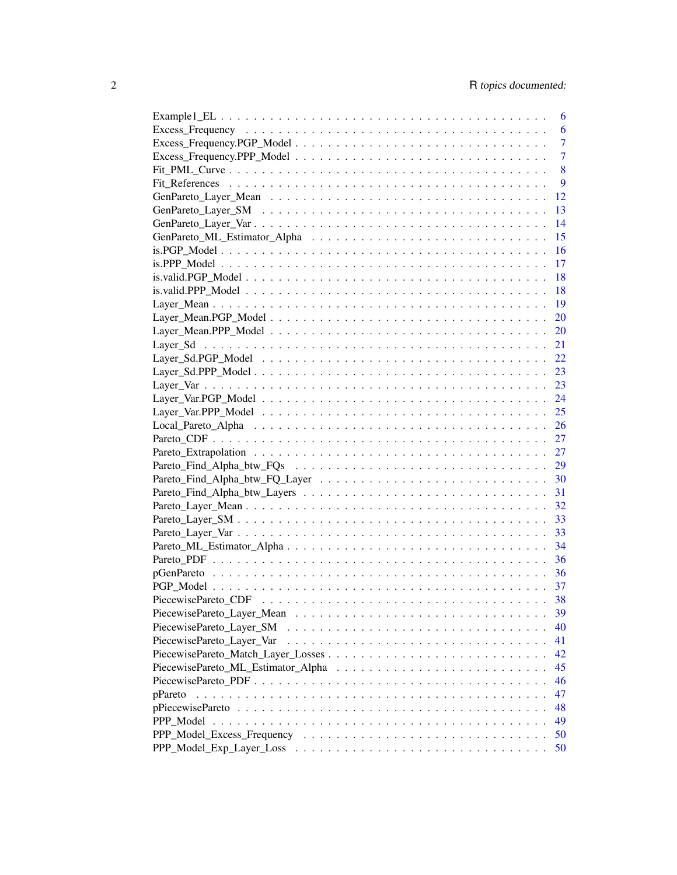|                           | 6              |
|---------------------------|----------------|
|                           | 6              |
|                           | $\overline{7}$ |
|                           | $\overline{7}$ |
|                           | 8              |
|                           | 9              |
|                           | 12             |
|                           | 13             |
|                           | 14             |
|                           | 15             |
|                           | 16             |
|                           | 17             |
|                           | 18             |
|                           | 18             |
|                           | 19             |
|                           | 20             |
|                           | 20             |
|                           | 21             |
|                           | 22             |
|                           | 23             |
|                           | 23             |
|                           |                |
|                           |                |
|                           |                |
|                           |                |
|                           |                |
|                           |                |
|                           |                |
|                           |                |
|                           |                |
|                           |                |
|                           |                |
|                           |                |
|                           |                |
|                           |                |
|                           |                |
|                           |                |
|                           |                |
|                           | 39             |
| PiecewisePareto Layer SM  | 40             |
| PiecewisePareto_Layer_Var | 41             |
|                           | 42             |
|                           | 45             |
|                           | 46             |
| pPareto                   | 47             |
|                           | 48             |
|                           | 49             |
|                           | 50             |
|                           | 50             |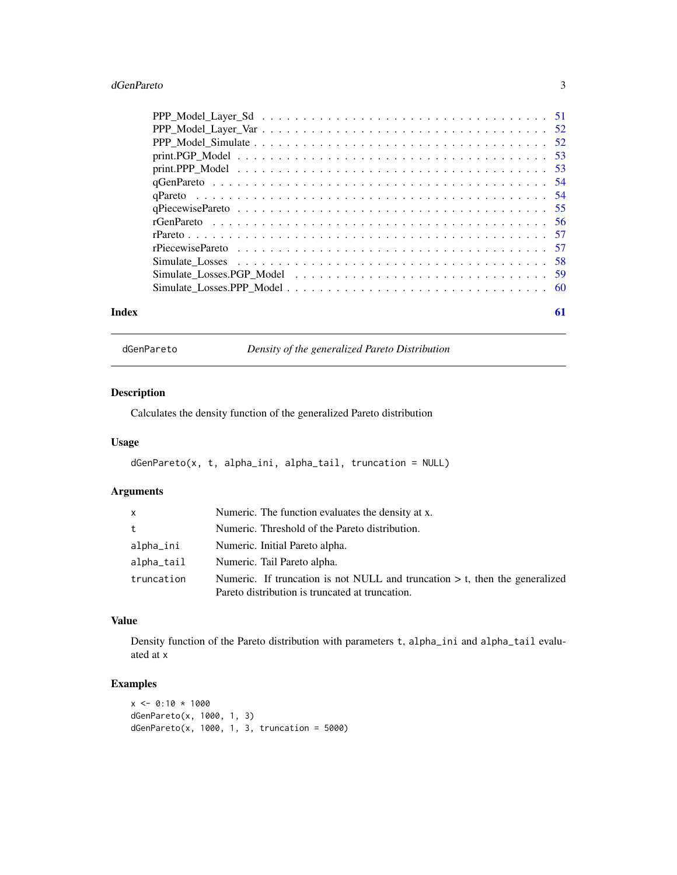#### <span id="page-2-0"></span>dGenPareto 3

| Index | 61 |  |
|-------|----|--|

dGenPareto *Density of the generalized Pareto Distribution*

# Description

Calculates the density function of the generalized Pareto distribution

# Usage

```
dGenPareto(x, t, alpha_ini, alpha_tail, truncation = NULL)
```
# Arguments

| $\mathsf{x}$ | Numeric. The function evaluates the density at x.                                                                                 |
|--------------|-----------------------------------------------------------------------------------------------------------------------------------|
| t            | Numeric. Threshold of the Pareto distribution.                                                                                    |
| alpha_ini    | Numeric. Initial Pareto alpha.                                                                                                    |
| alpha_tail   | Numeric. Tail Pareto alpha.                                                                                                       |
| truncation   | Numeric. If truncation is not NULL and truncation $> t$ , then the generalized<br>Pareto distribution is truncated at truncation. |

# Value

Density function of the Pareto distribution with parameters t, alpha\_ini and alpha\_tail evaluated at x

```
x \le -0:10 * 1000dGenPareto(x, 1000, 1, 3)
dGenPareto(x, 1000, 1, 3, truncation = <math>5000</math>)
```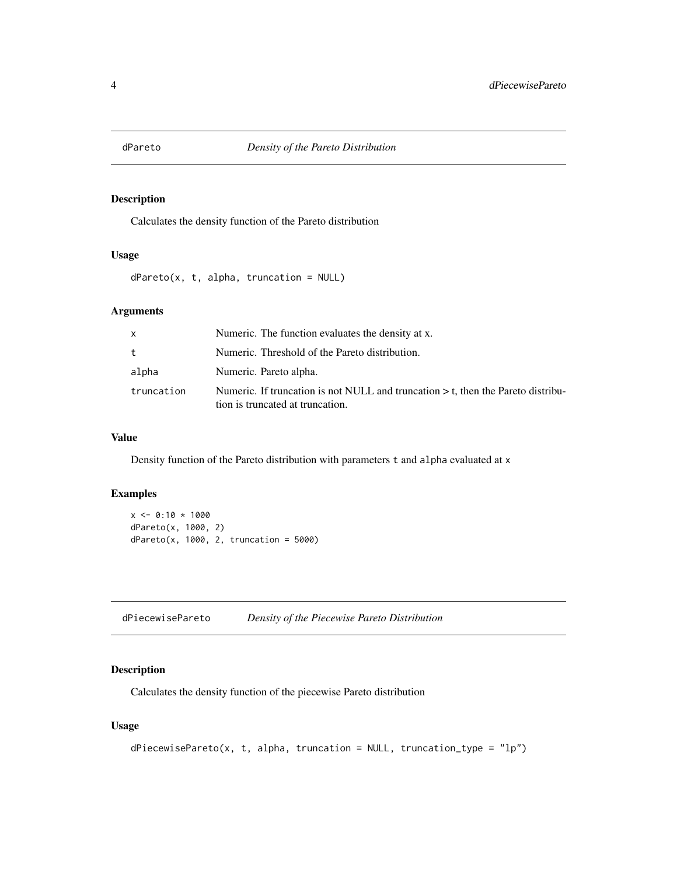<span id="page-3-0"></span>

# Description

Calculates the density function of the Pareto distribution

# Usage

dPareto(x, t, alpha, truncation = NULL)

#### Arguments

| $\mathsf{x}$ | Numeric. The function evaluates the density at x.                                                                      |
|--------------|------------------------------------------------------------------------------------------------------------------------|
| t            | Numeric. Threshold of the Pareto distribution.                                                                         |
| alpha        | Numeric. Pareto alpha.                                                                                                 |
| truncation   | Numeric. If truncation is not NULL and truncation $>$ t, then the Pareto distribu-<br>tion is truncated at truncation. |

#### Value

Density function of the Pareto distribution with parameters t and alpha evaluated at x

# Examples

```
x \le -0:10 * 1000dPareto(x, 1000, 2)
dPareto(x, 1000, 2, truncation = 5000)
```
#### Description

Calculates the density function of the piecewise Pareto distribution

# Usage

```
dPiecewisePareto(x, t, alpha, truncation = NULL, truncation_type = "lp")
```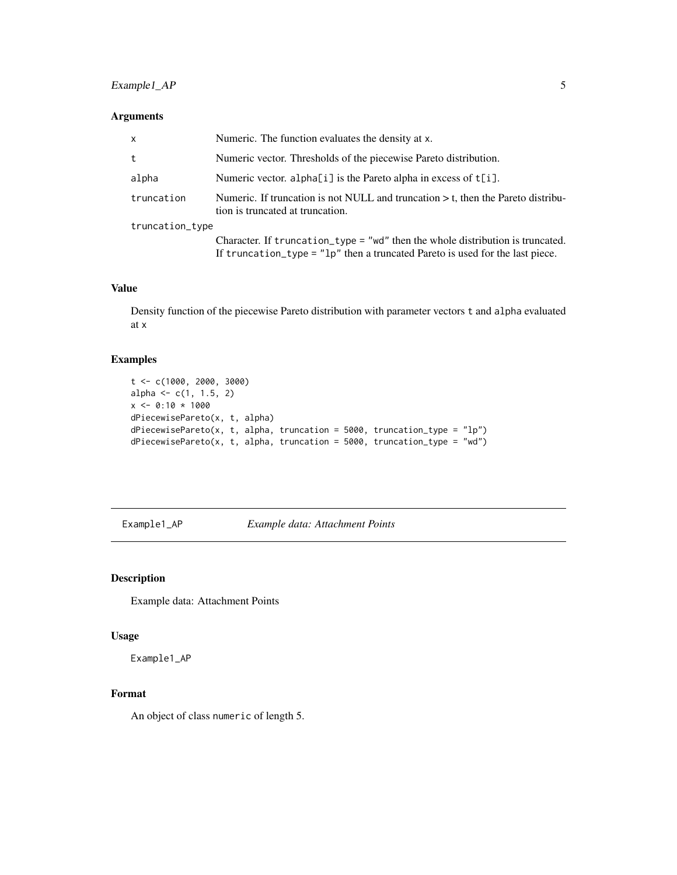# <span id="page-4-0"></span>Example 1\_AP 5

# Arguments

| $\mathsf{x}$    | Numeric. The function evaluates the density at x.                                                                                                                 |  |
|-----------------|-------------------------------------------------------------------------------------------------------------------------------------------------------------------|--|
| t               | Numeric vector. Thresholds of the piecewise Pareto distribution.                                                                                                  |  |
| alpha           | Numeric vector. alpha[i] is the Pareto alpha in excess of t[i].                                                                                                   |  |
| truncation      | Numeric. If truncation is not NULL and truncation $> t$ , then the Pareto distribu-<br>tion is truncated at truncation.                                           |  |
| truncation_type |                                                                                                                                                                   |  |
|                 | Character. If truncation_type = "wd" then the whole distribution is truncated.<br>If truncation_type = $"lp"$ then a truncated Pareto is used for the last piece. |  |

#### Value

Density function of the piecewise Pareto distribution with parameter vectors t and alpha evaluated at x

# Examples

```
t <- c(1000, 2000, 3000)
alpha <- c(1, 1.5, 2)
x \le -0.10 \times 1000dPiecewisePareto(x, t, alpha)
dPiecewisePareto(x, t, alpha, truncation = 5000, truncation_type = "lp")dPiecewisePareto(x, t, alpha, truncation = 5000, truncation_type = "wd")
```
Example1\_AP *Example data: Attachment Points*

#### Description

Example data: Attachment Points

#### Usage

Example1\_AP

# Format

An object of class numeric of length 5.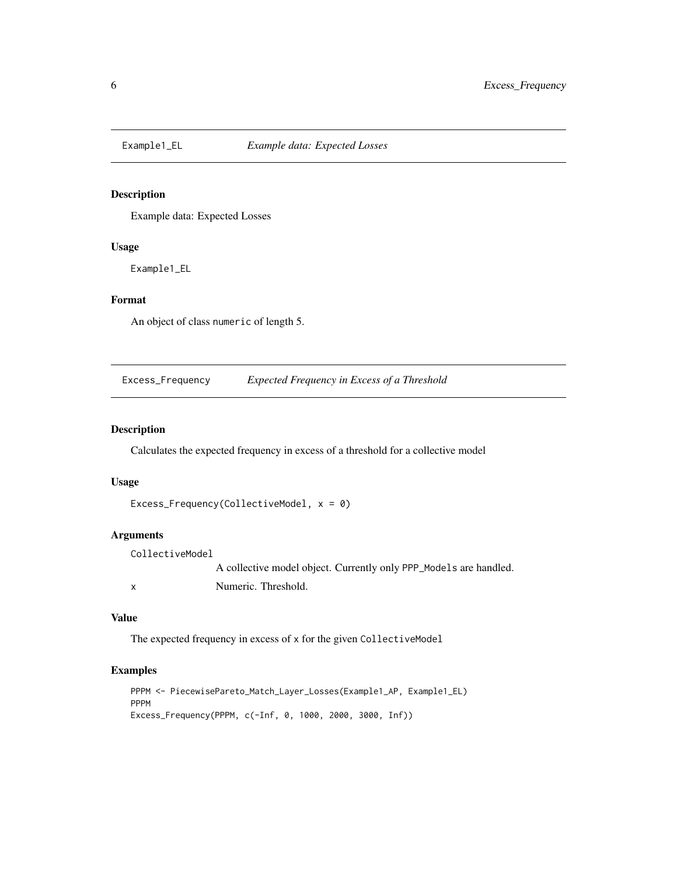<span id="page-5-0"></span>

# Description

Example data: Expected Losses

#### Usage

Example1\_EL

# Format

An object of class numeric of length 5.

Excess\_Frequency *Expected Frequency in Excess of a Threshold*

# Description

Calculates the expected frequency in excess of a threshold for a collective model

# Usage

```
Excess_Frequency(CollectiveModel, x = 0)
```
# Arguments

CollectiveModel A collective model object. Currently only PPP\_Models are handled. x Numeric. Threshold.

#### Value

The expected frequency in excess of x for the given CollectiveModel

```
PPPM <- PiecewisePareto_Match_Layer_Losses(Example1_AP, Example1_EL)
PPPM
Excess_Frequency(PPPM, c(-Inf, 0, 1000, 2000, 3000, Inf))
```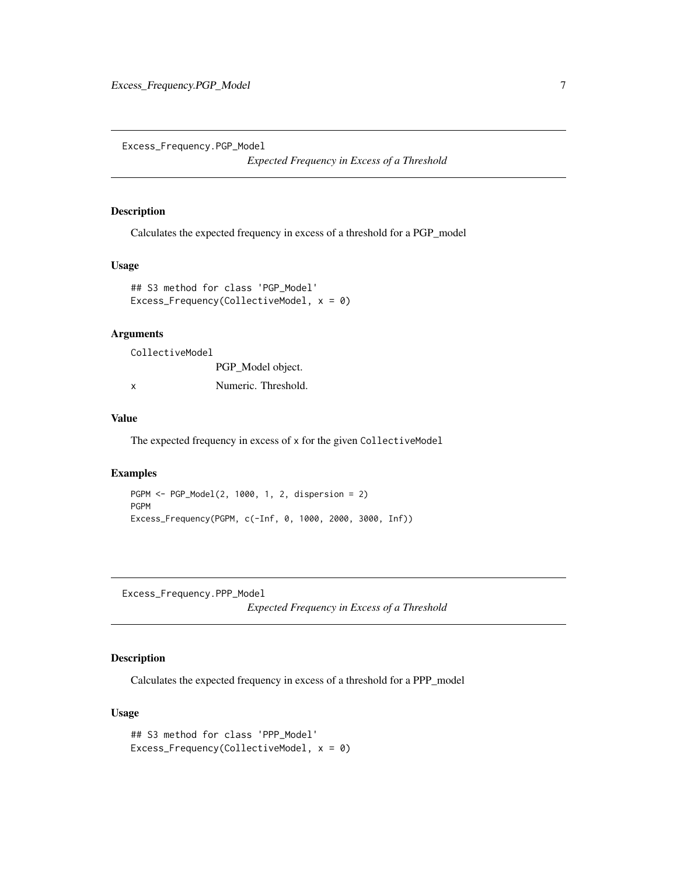<span id="page-6-0"></span>Excess\_Frequency.PGP\_Model

*Expected Frequency in Excess of a Threshold*

# Description

Calculates the expected frequency in excess of a threshold for a PGP\_model

#### Usage

```
## S3 method for class 'PGP_Model'
Excess_Frequency(CollectiveModel, x = 0)
```
# Arguments

CollectiveModel PGP\_Model object. x Numeric. Threshold.

# Value

The expected frequency in excess of x for the given CollectiveModel

# Examples

```
PGPM <- PGP_Model(2, 1000, 1, 2, dispersion = 2)
PGPM
Excess_Frequency(PGPM, c(-Inf, 0, 1000, 2000, 3000, Inf))
```
Excess\_Frequency.PPP\_Model

*Expected Frequency in Excess of a Threshold*

# Description

Calculates the expected frequency in excess of a threshold for a PPP\_model

# Usage

```
## S3 method for class 'PPP_Model'
Excess_Frequency(CollectiveModel, x = 0)
```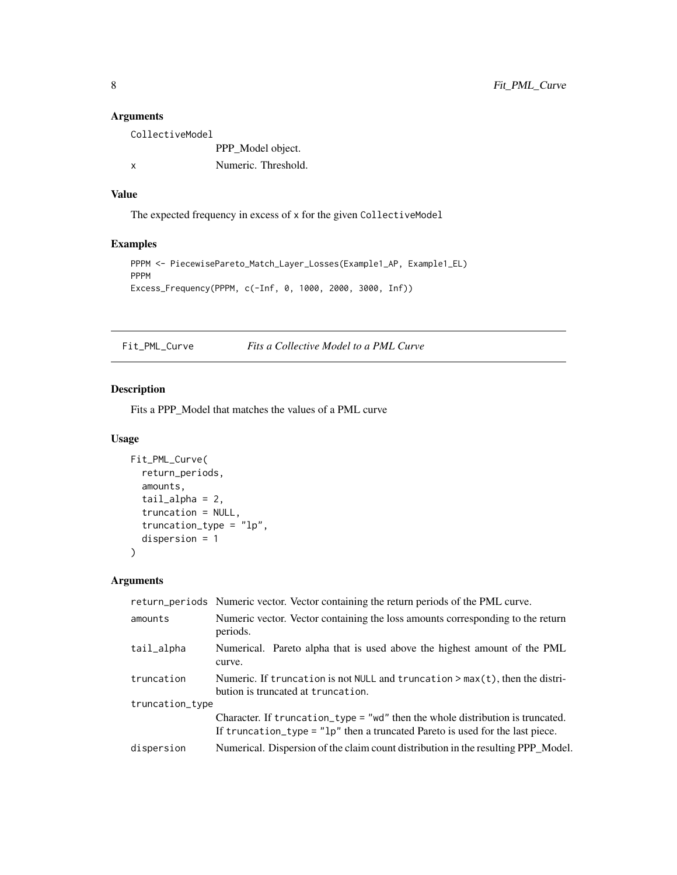# Arguments

| CollectiveModel |                     |
|-----------------|---------------------|
|                 | PPP_Model object.   |
| $\mathsf{x}$    | Numeric. Threshold. |

# Value

The expected frequency in excess of x for the given CollectiveModel

# Examples

```
PPPM <- PiecewisePareto_Match_Layer_Losses(Example1_AP, Example1_EL)
PPPM
Excess_Frequency(PPPM, c(-Inf, 0, 1000, 2000, 3000, Inf))
```
Fit\_PML\_Curve *Fits a Collective Model to a PML Curve*

# Description

Fits a PPP\_Model that matches the values of a PML curve

#### Usage

```
Fit_PML_Curve(
  return_periods,
  amounts,
  tail\_alpha = 2,
  truncation = NULL,
  truncation_type = <sup>'</sup>1p'',
  dispersion = 1
\mathcal{L}
```
# Arguments

|                 | return_periods Numeric vector. Vector containing the return periods of the PML curve.                                                                             |  |
|-----------------|-------------------------------------------------------------------------------------------------------------------------------------------------------------------|--|
| amounts         | Numeric vector. Vector containing the loss amounts corresponding to the return<br>periods.                                                                        |  |
| tail_alpha      | Numerical. Pareto alpha that is used above the highest amount of the PML<br>curve.                                                                                |  |
| truncation      | Numeric. If truncation is not NULL and truncation $> max(t)$ , then the distri-<br>bution is truncated at truncation.                                             |  |
| truncation_type |                                                                                                                                                                   |  |
|                 | Character. If truncation_type = "wd" then the whole distribution is truncated.<br>If truncation_type = $"lp"$ then a truncated Pareto is used for the last piece. |  |
| dispersion      | Numerical. Dispersion of the claim count distribution in the resulting PPP_Model.                                                                                 |  |

<span id="page-7-0"></span>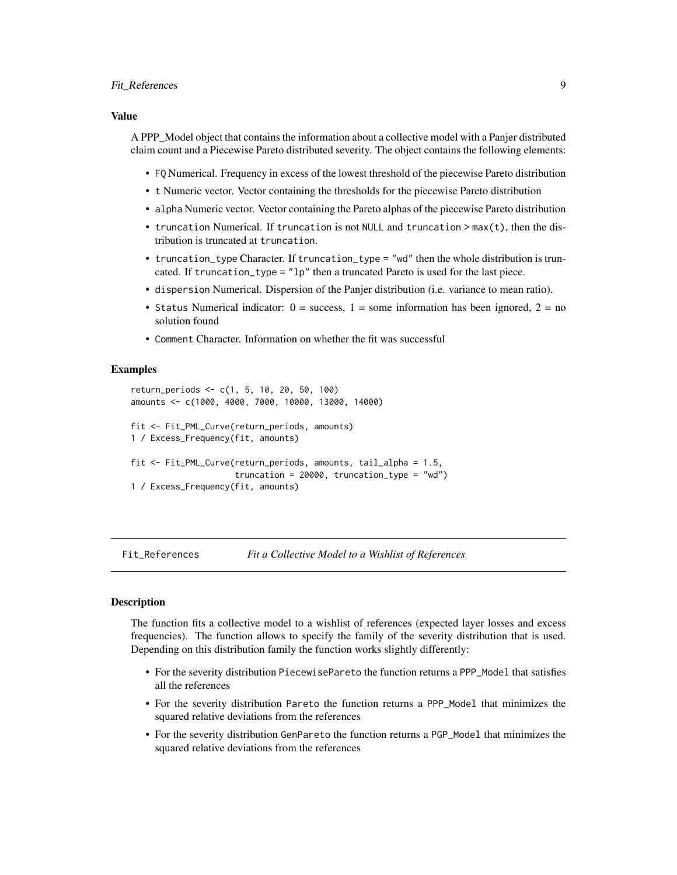# <span id="page-8-0"></span>Fit\_References 9

#### Value

A PPP\_Model object that contains the information about a collective model with a Panjer distributed claim count and a Piecewise Pareto distributed severity. The object contains the following elements:

- FQ Numerical. Frequency in excess of the lowest threshold of the piecewise Pareto distribution
- t Numeric vector. Vector containing the thresholds for the piecewise Pareto distribution
- alpha Numeric vector. Vector containing the Pareto alphas of the piecewise Pareto distribution
- truncation Numerical. If truncation is not NULL and truncation > max(t), then the distribution is truncated at truncation.
- truncation\_type Character. If truncation\_type = "wd" then the whole distribution is truncated. If truncation\_type = "lp" then a truncated Pareto is used for the last piece.
- dispersion Numerical. Dispersion of the Panjer distribution (i.e. variance to mean ratio).
- Status Numerical indicator:  $0 =$  success,  $1 =$  some information has been ignored,  $2 =$  no solution found
- Comment Character. Information on whether the fit was successful

#### Examples

```
return_periods <- c(1, 5, 10, 20, 50, 100)
amounts <- c(1000, 4000, 7000, 10000, 13000, 14000)
fit <- Fit_PML_Curve(return_periods, amounts)
1 / Excess_Frequency(fit, amounts)
fit <- Fit_PML_Curve(return_periods, amounts, tail_alpha = 1.5,
                     truncation = 20000, truncation_type = "wd")
1 / Excess_Frequency(fit, amounts)
```
Fit\_References *Fit a Collective Model to a Wishlist of References*

#### Description

The function fits a collective model to a wishlist of references (expected layer losses and excess frequencies). The function allows to specify the family of the severity distribution that is used. Depending on this distribution family the function works slightly differently:

- For the severity distribution PiecewisePareto the function returns a PPP\_Model that satisfies all the references
- For the severity distribution Pareto the function returns a PPP\_Model that minimizes the squared relative deviations from the references
- For the severity distribution GenPareto the function returns a PGP\_Model that minimizes the squared relative deviations from the references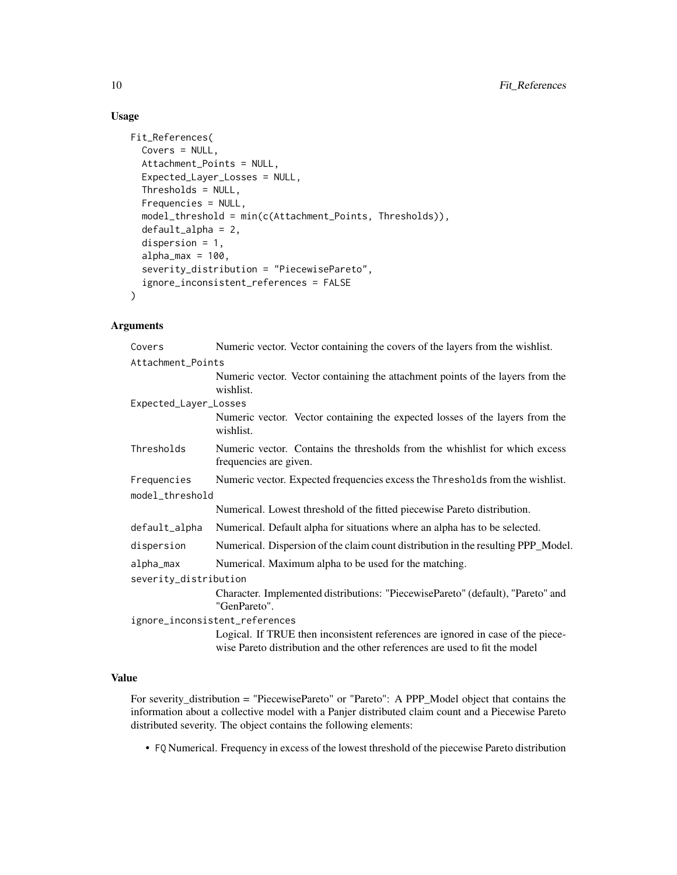# Usage

```
Fit_References(
  Covers = NULL,
  Attachment_Points = NULL,
  Expected_Layer_Losses = NULL,
  Thresholds = NULL,
  Frequencies = NULL,
  model_threshold = min(c(Attachment_Points, Thresholds)),
  default_alpha = 2,
  dispersion = 1,
  alpha_{max} = 100,severity_distribution = "PiecewisePareto",
  ignore_inconsistent_references = FALSE
\mathcal{L}
```
#### Arguments

| Covers                | Numeric vector. Vector containing the covers of the layers from the wishlist.                                                                                  |
|-----------------------|----------------------------------------------------------------------------------------------------------------------------------------------------------------|
| Attachment_Points     |                                                                                                                                                                |
|                       | Numeric vector. Vector containing the attachment points of the layers from the<br>wishlist.                                                                    |
| Expected_Layer_Losses |                                                                                                                                                                |
|                       | Numeric vector. Vector containing the expected losses of the layers from the<br>wishlist.                                                                      |
| Thresholds            | Numeric vector. Contains the thresholds from the whishlist for which excess<br>frequencies are given.                                                          |
| Frequencies           | Numeric vector. Expected frequencies excess the Thresholds from the wishlist.                                                                                  |
| model_threshold       |                                                                                                                                                                |
|                       | Numerical. Lowest threshold of the fitted piecewise Pareto distribution.                                                                                       |
| default_alpha         | Numerical. Default alpha for situations where an alpha has to be selected.                                                                                     |
| dispersion            | Numerical. Dispersion of the claim count distribution in the resulting PPP_Model.                                                                              |
| alpha_max             | Numerical. Maximum alpha to be used for the matching.                                                                                                          |
| severity_distribution |                                                                                                                                                                |
|                       | Character. Implemented distributions: "PiecewisePareto" (default), "Pareto" and<br>"GenPareto".                                                                |
|                       | ignore_inconsistent_references                                                                                                                                 |
|                       | Logical. If TRUE then inconsistent references are ignored in case of the piece-<br>wise Pareto distribution and the other references are used to fit the model |

# Value

For severity\_distribution = "PiecewisePareto" or "Pareto": A PPP\_Model object that contains the information about a collective model with a Panjer distributed claim count and a Piecewise Pareto distributed severity. The object contains the following elements:

• FQ Numerical. Frequency in excess of the lowest threshold of the piecewise Pareto distribution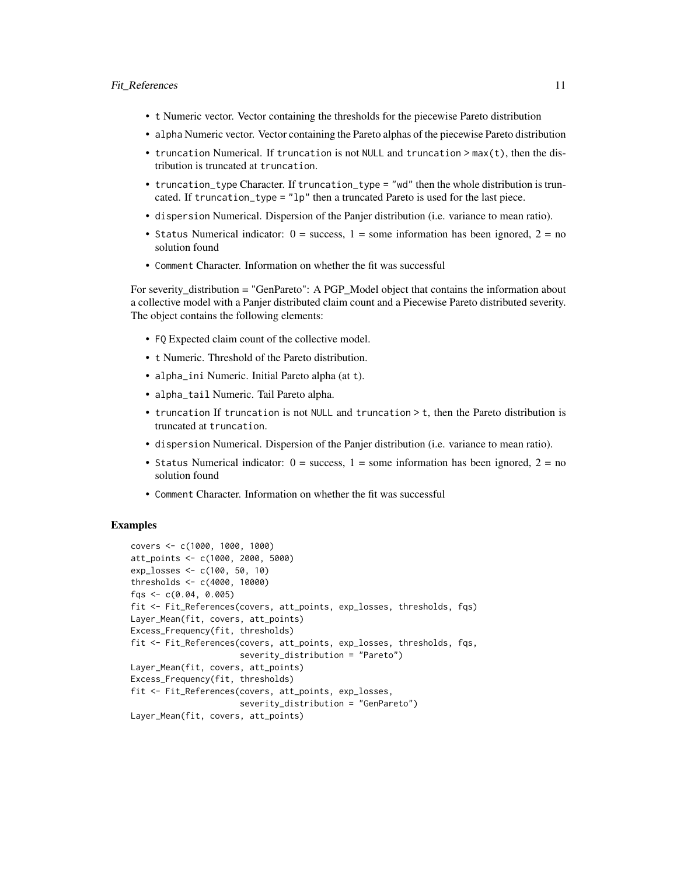- t Numeric vector. Vector containing the thresholds for the piecewise Pareto distribution
- alpha Numeric vector. Vector containing the Pareto alphas of the piecewise Pareto distribution
- truncation Numerical. If truncation is not NULL and truncation > max(t), then the distribution is truncated at truncation.
- truncation\_type Character. If truncation\_type = "wd" then the whole distribution is truncated. If truncation\_type =  $"lp"$  then a truncated Pareto is used for the last piece.
- dispersion Numerical. Dispersion of the Panjer distribution (i.e. variance to mean ratio).
- Status Numerical indicator:  $0 =$  success,  $1 =$  some information has been ignored,  $2 =$  no solution found
- Comment Character. Information on whether the fit was successful

For severity\_distribution = "GenPareto": A PGP\_Model object that contains the information about a collective model with a Panjer distributed claim count and a Piecewise Pareto distributed severity. The object contains the following elements:

- FQ Expected claim count of the collective model.
- t Numeric. Threshold of the Pareto distribution.
- alpha\_ini Numeric. Initial Pareto alpha (at t).
- alpha\_tail Numeric. Tail Pareto alpha.
- truncation If truncation is not NULL and truncation > t, then the Pareto distribution is truncated at truncation.
- dispersion Numerical. Dispersion of the Panjer distribution (i.e. variance to mean ratio).
- Status Numerical indicator:  $0 =$  success,  $1 =$  some information has been ignored,  $2 =$  no solution found
- Comment Character. Information on whether the fit was successful

```
covers <- c(1000, 1000, 1000)
att_points <- c(1000, 2000, 5000)
exp_losses <- c(100, 50, 10)
thresholds <- c(4000, 10000)
fqs <- c(0.04, 0.005)
fit <- Fit_References(covers, att_points, exp_losses, thresholds, fqs)
Layer_Mean(fit, covers, att_points)
Excess_Frequency(fit, thresholds)
fit <- Fit_References(covers, att_points, exp_losses, thresholds, fqs,
                      severity_distribution = "Pareto")
Layer_Mean(fit, covers, att_points)
Excess_Frequency(fit, thresholds)
fit <- Fit_References(covers, att_points, exp_losses,
                      severity_distribution = "GenPareto")
Layer_Mean(fit, covers, att_points)
```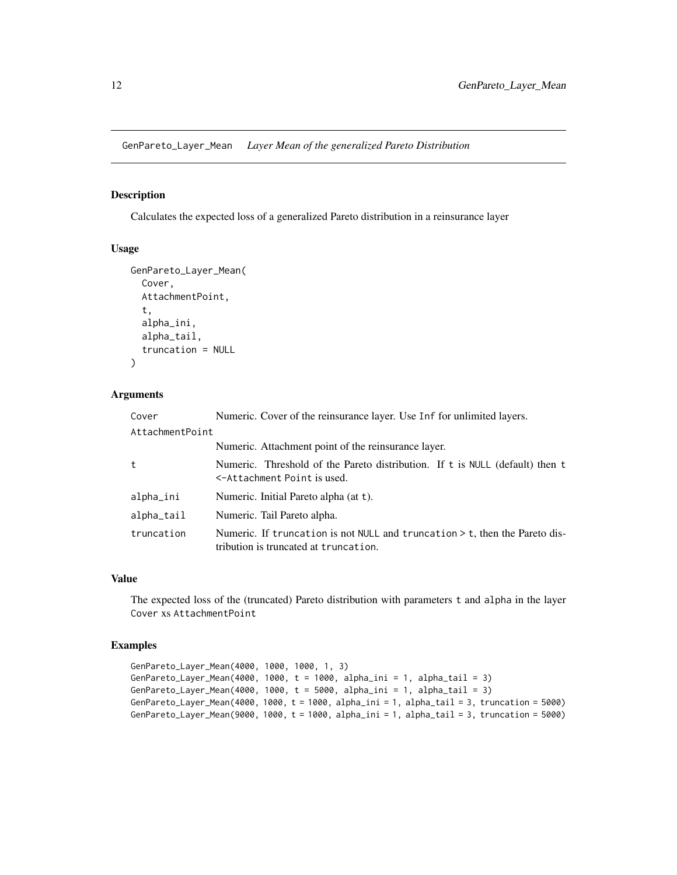<span id="page-11-0"></span>GenPareto\_Layer\_Mean *Layer Mean of the generalized Pareto Distribution*

#### Description

Calculates the expected loss of a generalized Pareto distribution in a reinsurance layer

#### Usage

```
GenPareto_Layer_Mean(
  Cover,
  AttachmentPoint,
  t,
  alpha_ini,
  alpha_tail,
  truncation = NULL
)
```
#### Arguments

| Cover           | Numeric. Cover of the reinsurance layer. Use Inf for unlimited layers.                                                 |
|-----------------|------------------------------------------------------------------------------------------------------------------------|
| AttachmentPoint |                                                                                                                        |
|                 | Numeric. Attachment point of the reinsurance layer.                                                                    |
| t               | Numeric. Threshold of the Pareto distribution. If t is NULL (default) then t<br><-Attachment Point is used.            |
| alpha_ini       | Numeric. Initial Pareto alpha (at t).                                                                                  |
| alpha_tail      | Numeric. Tail Pareto alpha.                                                                                            |
| truncation      | Numeric. If truncation is not NULL and truncation $>$ t, then the Pareto dis-<br>tribution is truncated at truncation. |

#### Value

The expected loss of the (truncated) Pareto distribution with parameters t and alpha in the layer Cover xs AttachmentPoint

```
GenPareto_Layer_Mean(4000, 1000, 1000, 1, 3)
GenPareto_Layer_Mean(4000, 1000, t = 1000, alpha_ini = 1, alpha_tail = 3)
GenPareto_Layer_Mean(4000, 1000, t = 5000, alpha_ini = 1, alpha_tail = 3)
GenPareto_Layer_Mean(4000, 1000, t = 1000, alpha_ini = 1, alpha_tail = 3, truncation = 5000)
GenPareto_Layer_Mean(9000, 1000, t = 1000, alpha_ini = 1, alpha_tail = 3, truncation = 5000)
```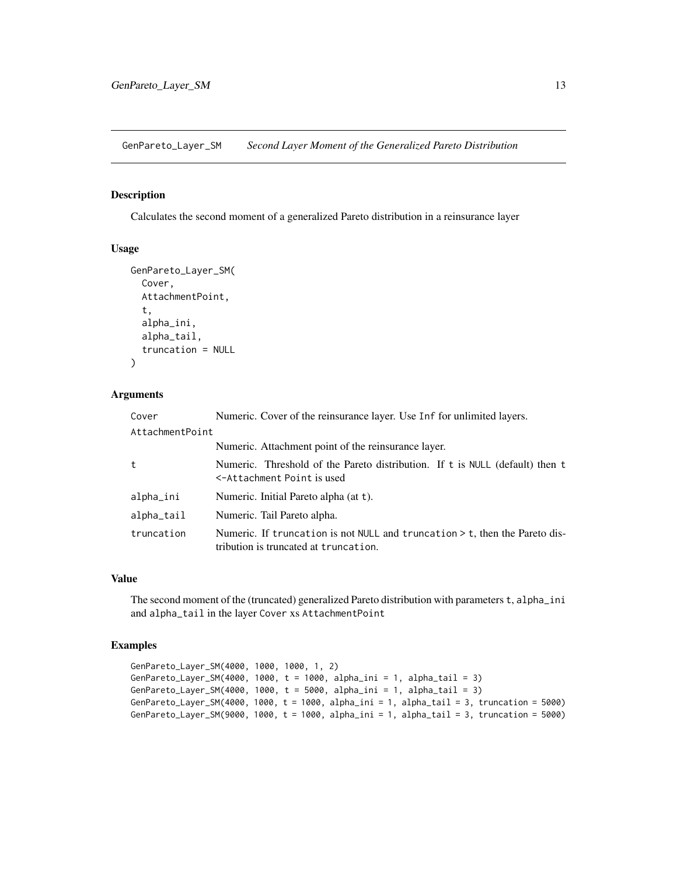<span id="page-12-0"></span>GenPareto\_Layer\_SM *Second Layer Moment of the Generalized Pareto Distribution*

# Description

Calculates the second moment of a generalized Pareto distribution in a reinsurance layer

# Usage

```
GenPareto_Layer_SM(
  Cover,
  AttachmentPoint,
  t,
  alpha_ini,
  alpha_tail,
  truncation = NULL
)
```
# Arguments

| Cover                    | Numeric. Cover of the reinsurance layer. Use Inf for unlimited layers.                                                 |
|--------------------------|------------------------------------------------------------------------------------------------------------------------|
| AttachmentPoint          |                                                                                                                        |
|                          | Numeric. Attachment point of the reinsurance layer.                                                                    |
| t                        | Numeric. Threshold of the Pareto distribution. If t is NULL (default) then t<br><-Attachment Point is used             |
| alpha_ini                | Numeric. Initial Pareto alpha (at t).                                                                                  |
| $alpha$ <sub>_tail</sub> | Numeric. Tail Pareto alpha.                                                                                            |
| truncation               | Numeric. If truncation is not NULL and truncation $>$ t, then the Pareto dis-<br>tribution is truncated at truncation. |

#### Value

The second moment of the (truncated) generalized Pareto distribution with parameters t, alpha\_ini and alpha\_tail in the layer Cover xs AttachmentPoint

```
GenPareto_Layer_SM(4000, 1000, 1000, 1, 2)
GenPareto_Layer_SM(4000, 1000, t = 1000, alpha_ini = 1, alpha_tail = 3)
GenPareto_Layer_SM(4000, 1000, t = 5000, alpha_ini = 1, alpha_tail = 3)
GenPareto_Layer_SM(4000, 1000, t = 1000, alpha_ini = 1, alpha_tail = 3, truncation = 5000)
GenPareto_Layer_SM(9000, 1000, t = 1000, alpha_ini = 1, alpha_tail = 3, truncation = 5000)
```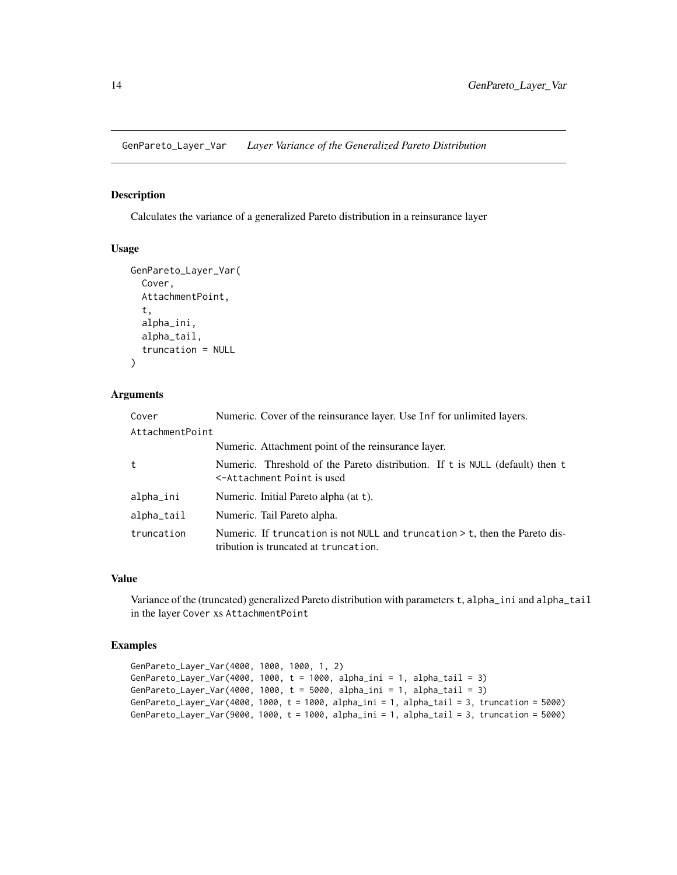<span id="page-13-0"></span>GenPareto\_Layer\_Var *Layer Variance of the Generalized Pareto Distribution*

#### Description

Calculates the variance of a generalized Pareto distribution in a reinsurance layer

#### Usage

```
GenPareto_Layer_Var(
  Cover,
  AttachmentPoint,
  t,
  alpha_ini,
  alpha_tail,
  truncation = NULL
)
```
# Arguments

| Cover                    | Numeric. Cover of the reinsurance layer. Use Inf for unlimited layers.                                                    |
|--------------------------|---------------------------------------------------------------------------------------------------------------------------|
| AttachmentPoint          |                                                                                                                           |
|                          | Numeric. Attachment point of the reinsurance layer.                                                                       |
| t                        | Numeric. Threshold of the Pareto distribution. If t is NULL (default) then t<br><-Attachment Point is used                |
| alpha_ini                | Numeric. Initial Pareto alpha (at t).                                                                                     |
| $alpha$ <sub>_tail</sub> | Numeric. Tail Pareto alpha.                                                                                               |
| truncation               | Numeric. If truncation is not NULL and truncation $\geq$ t, then the Pareto dis-<br>tribution is truncated at truncation. |

#### Value

Variance of the (truncated) generalized Pareto distribution with parameters t, alpha\_ini and alpha\_tail in the layer Cover xs AttachmentPoint

```
GenPareto_Layer_Var(4000, 1000, 1000, 1, 2)
GenPareto_Layer_Var(4000, 1000, t = 1000, alpha_ini = 1, alpha_tail = 3)
GenPareto_Layer_Var(4000, 1000, t = 5000, alpha_ini = 1, alpha_tail = 3)
GenPareto_Layer_Var(4000, 1000, t = 1000, alpha_ini = 1, alpha_tail = 3, truncation = 5000)
GenPareto_Layer_Var(9000, 1000, t = 1000, alpha_ini = 1, alpha_tail = 3, truncation = 5000)
```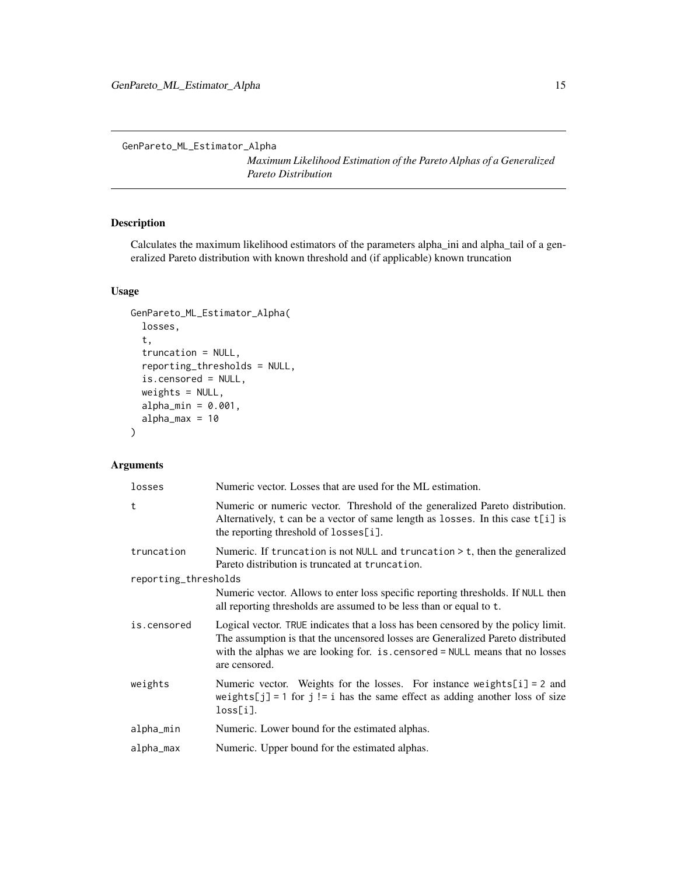<span id="page-14-0"></span>GenPareto\_ML\_Estimator\_Alpha

*Maximum Likelihood Estimation of the Pareto Alphas of a Generalized Pareto Distribution*

# Description

Calculates the maximum likelihood estimators of the parameters alpha\_ini and alpha\_tail of a generalized Pareto distribution with known threshold and (if applicable) known truncation

# Usage

```
GenPareto_ML_Estimator_Alpha(
  losses,
  t,
  truncation = NULL,
  reporting_thresholds = NULL,
  is.censored = NULL,
  weights = NULL,
  alpha_min = 0.001,
  alpha_max = 10
)
```
# Arguments

| losses               | Numeric vector. Losses that are used for the ML estimation.                                                                                                                                                                                                           |
|----------------------|-----------------------------------------------------------------------------------------------------------------------------------------------------------------------------------------------------------------------------------------------------------------------|
| t                    | Numeric or numeric vector. Threshold of the generalized Pareto distribution.<br>Alternatively, t can be a vector of same length as losses. In this case t[i] is<br>the reporting threshold of losses[i].                                                              |
| truncation           | Numeric. If truncation is not NULL and truncation $>$ t, then the generalized<br>Pareto distribution is truncated at truncation.                                                                                                                                      |
| reporting_thresholds |                                                                                                                                                                                                                                                                       |
|                      | Numeric vector. Allows to enter loss specific reporting thresholds. If NULL then<br>all reporting thresholds are assumed to be less than or equal to t.                                                                                                               |
| is.censored          | Logical vector. TRUE indicates that a loss has been censored by the policy limit.<br>The assumption is that the uncensored losses are Generalized Pareto distributed<br>with the alphas we are looking for. is. censored = NULL means that no losses<br>are censored. |
| weights              | Numeric vector. Weights for the losses. For instance weights $[i] = 2$ and<br>weights[j] = 1 for j != i has the same effect as adding another loss of size<br>$loss[i]$ .                                                                                             |
| alpha_min            | Numeric. Lower bound for the estimated alphas.                                                                                                                                                                                                                        |
| alpha_max            | Numeric. Upper bound for the estimated alphas.                                                                                                                                                                                                                        |
|                      |                                                                                                                                                                                                                                                                       |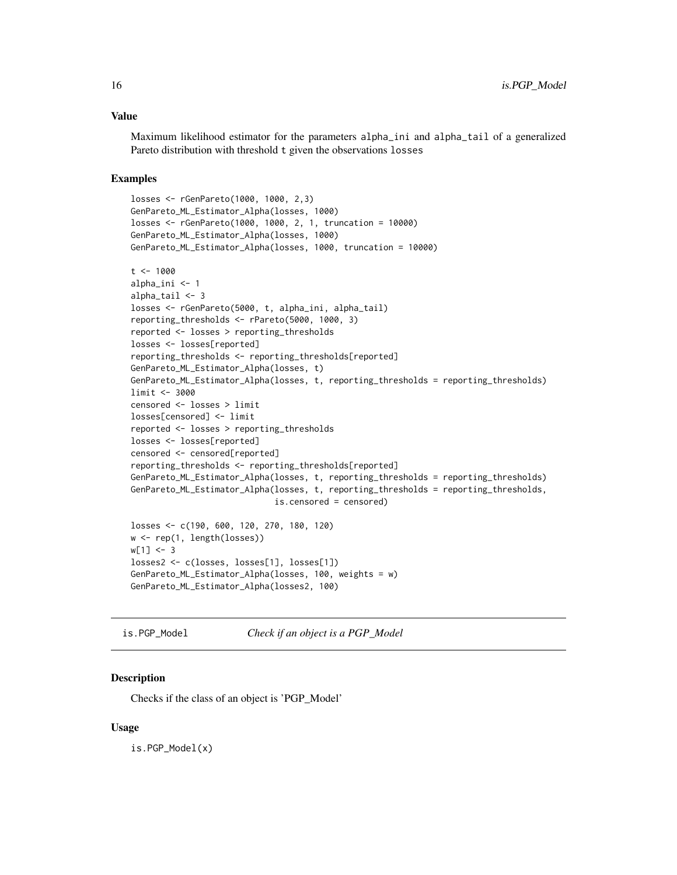#### <span id="page-15-0"></span>Value

Maximum likelihood estimator for the parameters alpha\_ini and alpha\_tail of a generalized Pareto distribution with threshold t given the observations losses

#### Examples

```
losses <- rGenPareto(1000, 1000, 2,3)
GenPareto_ML_Estimator_Alpha(losses, 1000)
losses <- rGenPareto(1000, 1000, 2, 1, truncation = 10000)
GenPareto_ML_Estimator_Alpha(losses, 1000)
GenPareto_ML_Estimator_Alpha(losses, 1000, truncation = 10000)
t < -1000alpha_ini <- 1
alpha_tail <- 3
losses <- rGenPareto(5000, t, alpha_ini, alpha_tail)
reporting_thresholds <- rPareto(5000, 1000, 3)
reported <- losses > reporting_thresholds
losses <- losses[reported]
reporting_thresholds <- reporting_thresholds[reported]
GenPareto_ML_Estimator_Alpha(losses, t)
GenPareto_ML_Estimator_Alpha(losses, t, reporting_thresholds = reporting_thresholds)
limit <- 3000
censored <- losses > limit
losses[censored] <- limit
reported <- losses > reporting_thresholds
losses <- losses[reported]
censored <- censored[reported]
reporting_thresholds <- reporting_thresholds[reported]
GenPareto_ML_Estimator_Alpha(losses, t, reporting_thresholds = reporting_thresholds)
GenPareto_ML_Estimator_Alpha(losses, t, reporting_thresholds = reporting_thresholds,
                             is.censored = censored)
losses <- c(190, 600, 120, 270, 180, 120)
w <- rep(1, length(losses))
w[1] < -3losses2 <- c(losses, losses[1], losses[1])
GenPareto_ML_Estimator_Alpha(losses, 100, weights = w)
GenPareto_ML_Estimator_Alpha(losses2, 100)
```

```
is.PGP_Model Check if an object is a PGP_Model
```
#### Description

Checks if the class of an object is 'PGP\_Model'

#### Usage

is.PGP\_Model(x)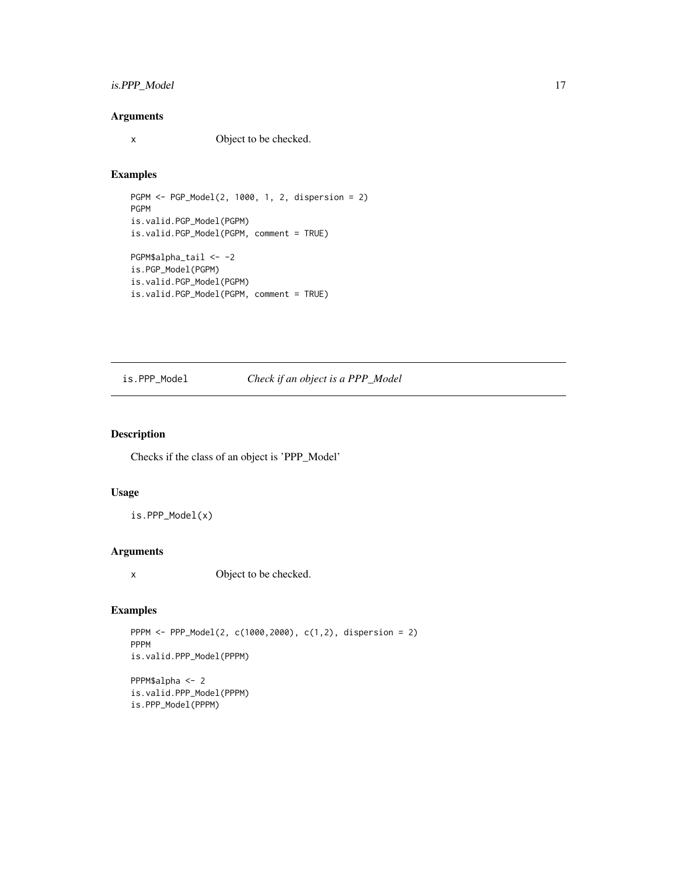# <span id="page-16-0"></span>is.PPP\_Model 17

# Arguments

x Object to be checked.

#### Examples

```
PGPM <- PGP_Model(2, 1000, 1, 2, dispersion = 2)
PGPM
is.valid.PGP_Model(PGPM)
is.valid.PGP_Model(PGPM, comment = TRUE)
PGPM$alpha_tail <- -2
is.PGP_Model(PGPM)
is.valid.PGP_Model(PGPM)
is.valid.PGP_Model(PGPM, comment = TRUE)
```
# is.PPP\_Model *Check if an object is a PPP\_Model*

#### Description

Checks if the class of an object is 'PPP\_Model'

# Usage

is.PPP\_Model(x)

#### Arguments

x Object to be checked.

# Examples

PPPM <- PPP\_Model(2, c(1000,2000), c(1,2), dispersion = 2) PPPM is.valid.PPP\_Model(PPPM) PPPM\$alpha <- 2 is.valid.PPP\_Model(PPPM)

is.PPP\_Model(PPPM)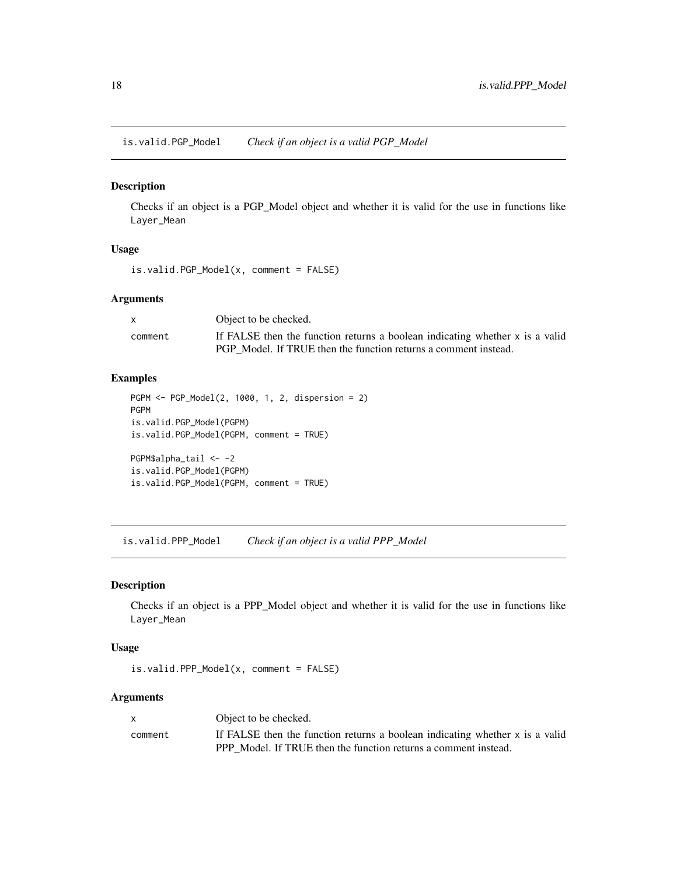<span id="page-17-0"></span>is.valid.PGP\_Model *Check if an object is a valid PGP\_Model*

#### Description

Checks if an object is a PGP\_Model object and whether it is valid for the use in functions like Layer\_Mean

#### Usage

```
is.valid.PGP_Model(x, comment = FALSE)
```
# Arguments

|         | Object to be checked.                                                        |
|---------|------------------------------------------------------------------------------|
| comment | If FALSE then the function returns a boolean indicating whether x is a valid |
|         | PGP Model. If TRUE then the function returns a comment instead.              |

#### Examples

```
PGPM <- PGP_Model(2, 1000, 1, 2, dispersion = 2)
PGPM
is.valid.PGP_Model(PGPM)
is.valid.PGP_Model(PGPM, comment = TRUE)
PGPM$alpha_tail <- -2
is.valid.PGP_Model(PGPM)
is.valid.PGP_Model(PGPM, comment = TRUE)
```
is.valid.PPP\_Model *Check if an object is a valid PPP\_Model*

# Description

Checks if an object is a PPP\_Model object and whether it is valid for the use in functions like Layer\_Mean

#### Usage

is.valid.PPP\_Model(x, comment = FALSE)

#### Arguments

| $\mathsf{x}$ | Object to be checked.                                                        |
|--------------|------------------------------------------------------------------------------|
| comment      | If FALSE then the function returns a boolean indicating whether x is a valid |
|              | PPP Model. If TRUE then the function returns a comment instead.              |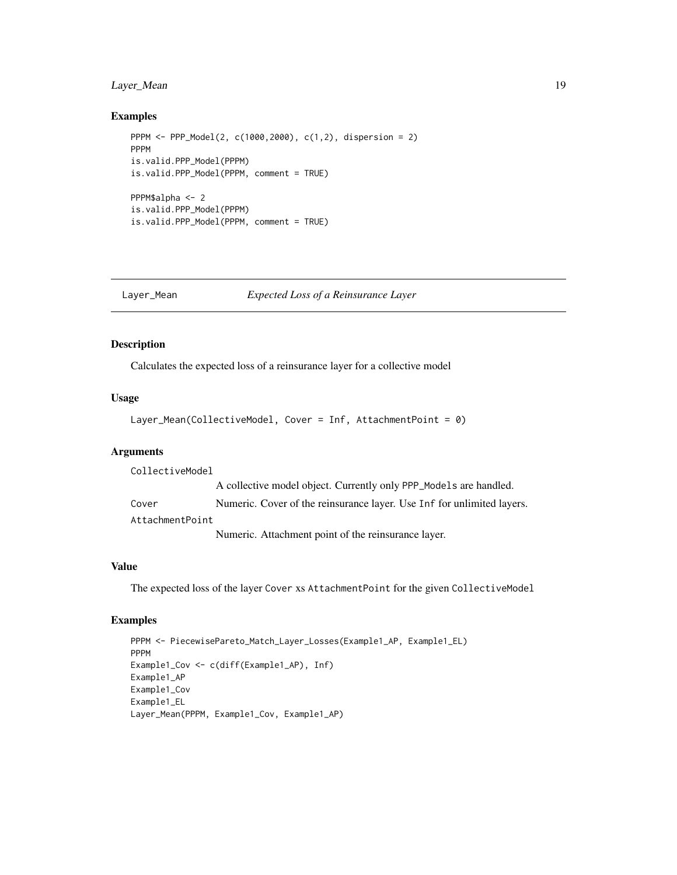# <span id="page-18-0"></span>Layer\_Mean 19

#### Examples

```
PPPM <- PPP_Model(2, c(1000,2000), c(1,2), dispersion = 2)
PPPM
is.valid.PPP_Model(PPPM)
is.valid.PPP_Model(PPPM, comment = TRUE)
PPPM$alpha <- 2
is.valid.PPP_Model(PPPM)
is.valid.PPP_Model(PPPM, comment = TRUE)
```
#### Layer\_Mean *Expected Loss of a Reinsurance Layer*

#### Description

Calculates the expected loss of a reinsurance layer for a collective model

#### Usage

```
Layer_Mean(CollectiveModel, Cover = Inf, AttachmentPoint = 0)
```
#### Arguments

CollectiveModel A collective model object. Currently only PPP\_Models are handled. Cover Numeric. Cover of the reinsurance layer. Use Inf for unlimited layers. AttachmentPoint Numeric. Attachment point of the reinsurance layer.

#### Value

The expected loss of the layer Cover xs AttachmentPoint for the given CollectiveModel

```
PPPM <- PiecewisePareto_Match_Layer_Losses(Example1_AP, Example1_EL)
PPPM
Example1_Cov <- c(diff(Example1_AP), Inf)
Example1_AP
Example1_Cov
Example1_EL
Layer_Mean(PPPM, Example1_Cov, Example1_AP)
```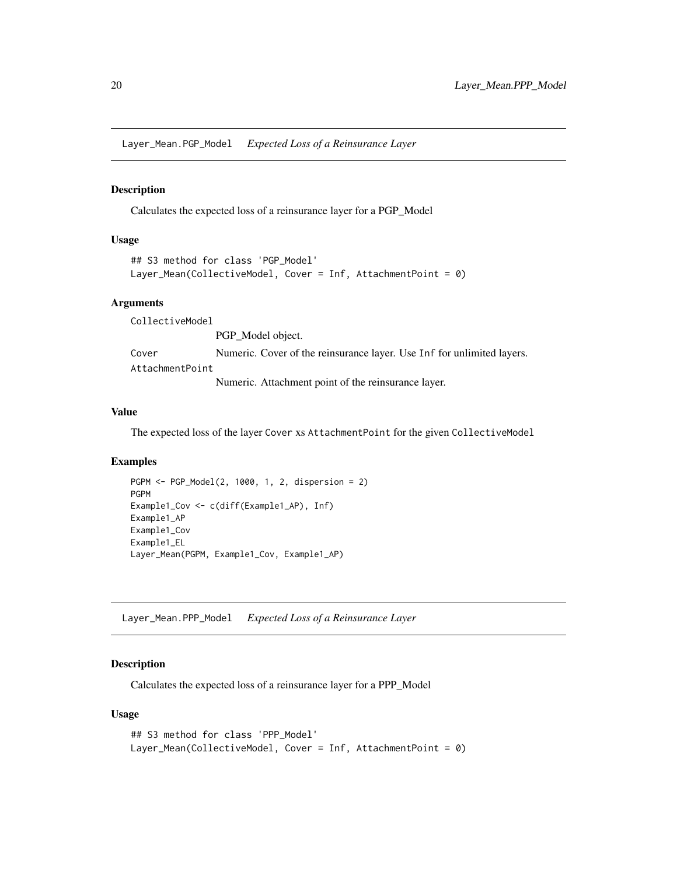<span id="page-19-0"></span>Layer\_Mean.PGP\_Model *Expected Loss of a Reinsurance Layer*

# Description

Calculates the expected loss of a reinsurance layer for a PGP\_Model

#### Usage

```
## S3 method for class 'PGP_Model'
Layer_Mean(CollectiveModel, Cover = Inf, AttachmentPoint = 0)
```
#### Arguments

CollectiveModel

PGP\_Model object.

Cover Numeric. Cover of the reinsurance layer. Use Inf for unlimited layers. AttachmentPoint

Numeric. Attachment point of the reinsurance layer.

#### Value

The expected loss of the layer Cover xs AttachmentPoint for the given CollectiveModel

# Examples

```
PGPM <- PGP_Model(2, 1000, 1, 2, dispersion = 2)
PGPM
Example1_Cov <- c(diff(Example1_AP), Inf)
Example1_AP
Example1_Cov
Example1_EL
Layer_Mean(PGPM, Example1_Cov, Example1_AP)
```
Layer\_Mean.PPP\_Model *Expected Loss of a Reinsurance Layer*

#### Description

Calculates the expected loss of a reinsurance layer for a PPP\_Model

#### Usage

```
## S3 method for class 'PPP_Model'
Layer_Mean(CollectiveModel, Cover = Inf, AttachmentPoint = 0)
```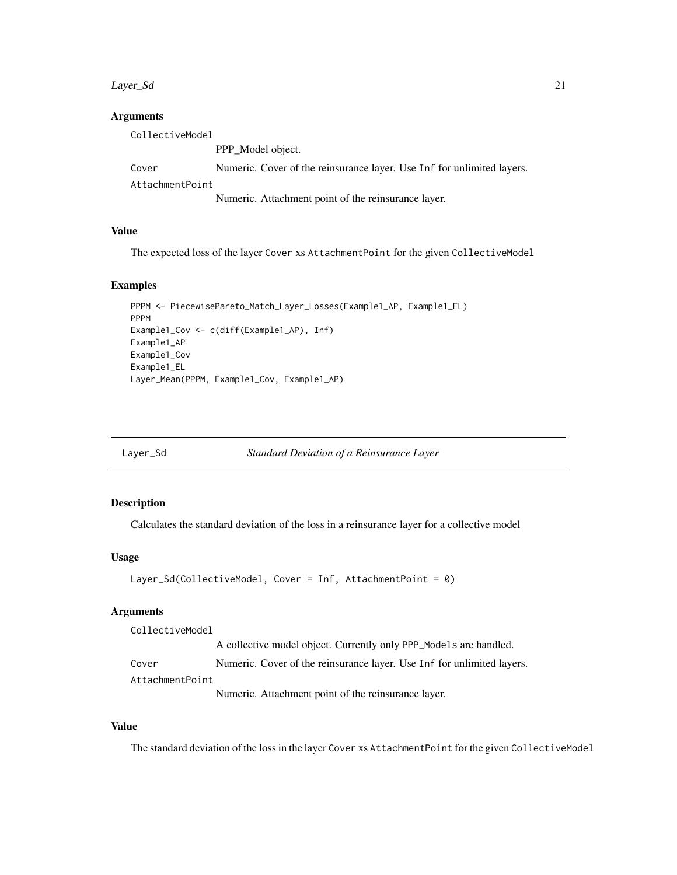#### <span id="page-20-0"></span>Layer\_Sd 21

#### Arguments

| CollectiveModel |                                                                        |  |
|-----------------|------------------------------------------------------------------------|--|
|                 | PPP_Model object.                                                      |  |
| Cover           | Numeric. Cover of the reinsurance layer. Use Inf for unlimited layers. |  |
| AttachmentPoint |                                                                        |  |
|                 | Numeric. Attachment point of the reinsurance layer.                    |  |

# Value

The expected loss of the layer Cover xs AttachmentPoint for the given CollectiveModel

#### Examples

```
PPPM <- PiecewisePareto_Match_Layer_Losses(Example1_AP, Example1_EL)
PPPM
Example1_Cov <- c(diff(Example1_AP), Inf)
Example1_AP
Example1_Cov
Example1_EL
Layer_Mean(PPPM, Example1_Cov, Example1_AP)
```
Layer\_Sd *Standard Deviation of a Reinsurance Layer*

#### Description

Calculates the standard deviation of the loss in a reinsurance layer for a collective model

#### Usage

```
Layer_Sd(CollectiveModel, Cover = Inf, AttachmentPoint = 0)
```
#### Arguments

CollectiveModel

A collective model object. Currently only PPP\_Models are handled.

Cover Numeric. Cover of the reinsurance layer. Use Inf for unlimited layers. AttachmentPoint

Numeric. Attachment point of the reinsurance layer.

#### Value

The standard deviation of the loss in the layer Cover xs AttachmentPoint for the given CollectiveModel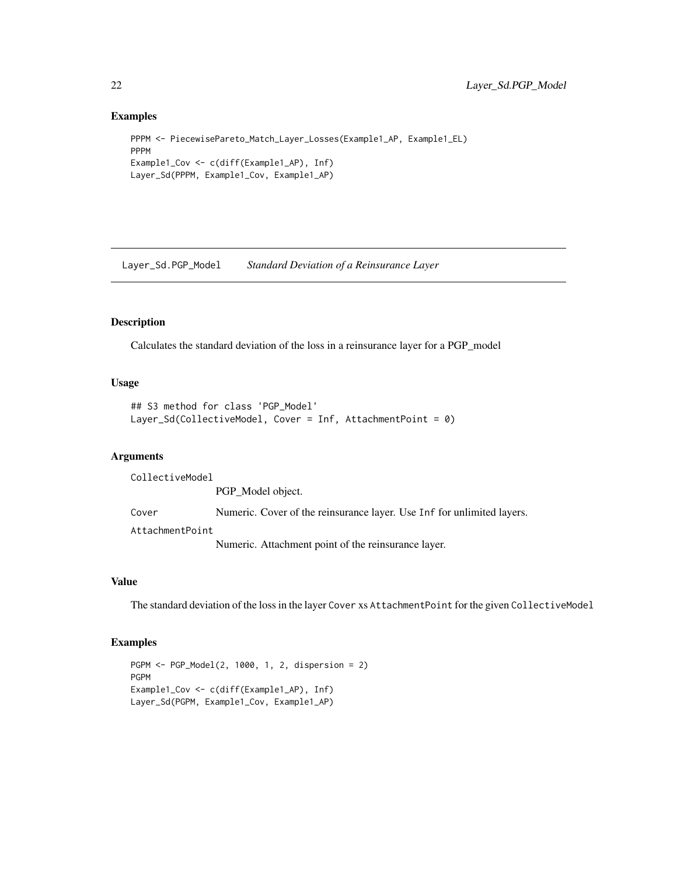#### Examples

```
PPPM <- PiecewisePareto_Match_Layer_Losses(Example1_AP, Example1_EL)
PPPM
Example1_Cov <- c(diff(Example1_AP), Inf)
Layer_Sd(PPPM, Example1_Cov, Example1_AP)
```
Layer\_Sd.PGP\_Model *Standard Deviation of a Reinsurance Layer*

# Description

Calculates the standard deviation of the loss in a reinsurance layer for a PGP\_model

# Usage

```
## S3 method for class 'PGP_Model'
Layer_Sd(CollectiveModel, Cover = Inf, AttachmentPoint = 0)
```
# Arguments

CollectiveModel

PGP\_Model object. Cover Numeric. Cover of the reinsurance layer. Use Inf for unlimited layers. AttachmentPoint

Numeric. Attachment point of the reinsurance layer.

# Value

The standard deviation of the loss in the layer Cover xs AttachmentPoint for the given CollectiveModel

```
PGPM <- PGP_Model(2, 1000, 1, 2, dispersion = 2)
PGPM
Example1_Cov <- c(diff(Example1_AP), Inf)
Layer_Sd(PGPM, Example1_Cov, Example1_AP)
```
<span id="page-21-0"></span>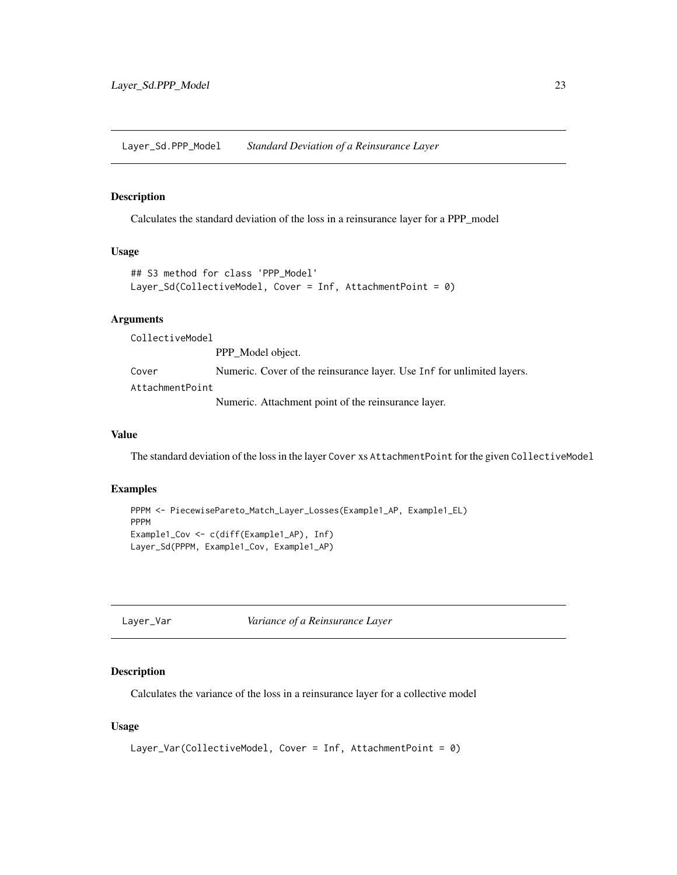<span id="page-22-0"></span>Layer\_Sd.PPP\_Model *Standard Deviation of a Reinsurance Layer*

#### Description

Calculates the standard deviation of the loss in a reinsurance layer for a PPP\_model

#### Usage

```
## S3 method for class 'PPP_Model'
Layer_Sd(CollectiveModel, Cover = Inf, AttachmentPoint = 0)
```
#### Arguments

CollectiveModel

PPP\_Model object. Cover Numeric. Cover of the reinsurance layer. Use Inf for unlimited layers. AttachmentPoint Numeric. Attachment point of the reinsurance layer.

#### Value

The standard deviation of the loss in the layer Cover xs AttachmentPoint for the given CollectiveModel

#### Examples

```
PPPM <- PiecewisePareto_Match_Layer_Losses(Example1_AP, Example1_EL)
PPPM
Example1_Cov <- c(diff(Example1_AP), Inf)
Layer_Sd(PPPM, Example1_Cov, Example1_AP)
```
Layer\_Var *Variance of a Reinsurance Layer*

#### Description

Calculates the variance of the loss in a reinsurance layer for a collective model

#### Usage

```
Layer_Var(CollectiveModel, Cover = Inf, AttachmentPoint = 0)
```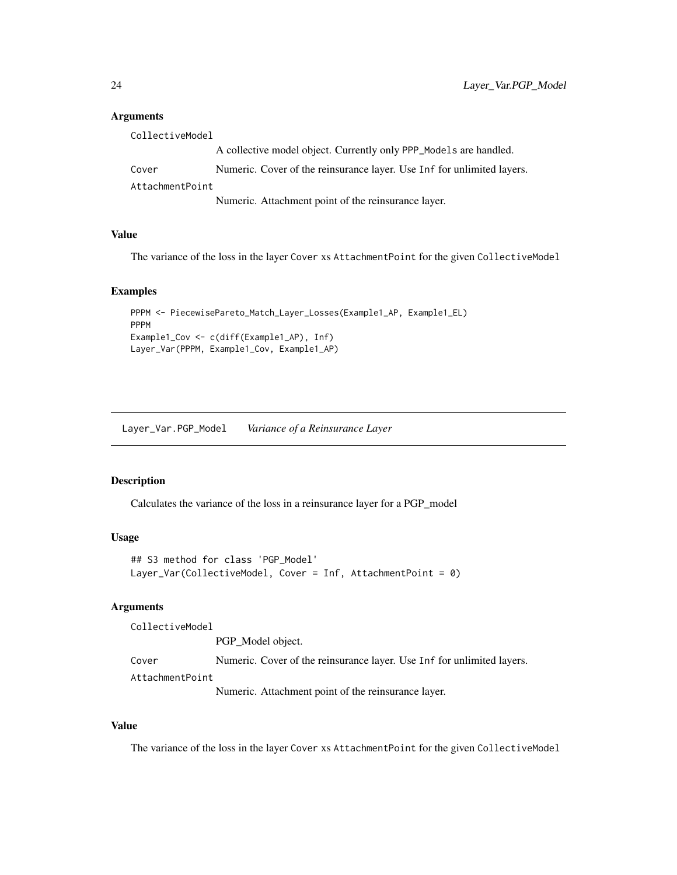#### <span id="page-23-0"></span>**Arguments**

| CollectiveModel |                                                                        |  |
|-----------------|------------------------------------------------------------------------|--|
|                 | A collective model object. Currently only PPP_Models are handled.      |  |
| Cover           | Numeric. Cover of the reinsurance layer. Use Inf for unlimited layers. |  |
| AttachmentPoint |                                                                        |  |
|                 | Numeric. Attachment point of the reinsurance layer.                    |  |

#### Value

The variance of the loss in the layer Cover xs AttachmentPoint for the given CollectiveModel

# Examples

```
PPPM <- PiecewisePareto_Match_Layer_Losses(Example1_AP, Example1_EL)
PPPM
Example1_Cov <- c(diff(Example1_AP), Inf)
Layer_Var(PPPM, Example1_Cov, Example1_AP)
```
Layer\_Var.PGP\_Model *Variance of a Reinsurance Layer*

# Description

Calculates the variance of the loss in a reinsurance layer for a PGP\_model

#### Usage

```
## S3 method for class 'PGP_Model'
Layer_Var(CollectiveModel, Cover = Inf, AttachmentPoint = 0)
```
# Arguments

CollectiveModel PGP\_Model object. Cover Numeric. Cover of the reinsurance layer. Use Inf for unlimited layers. AttachmentPoint Numeric. Attachment point of the reinsurance layer.

#### Value

The variance of the loss in the layer Cover xs AttachmentPoint for the given CollectiveModel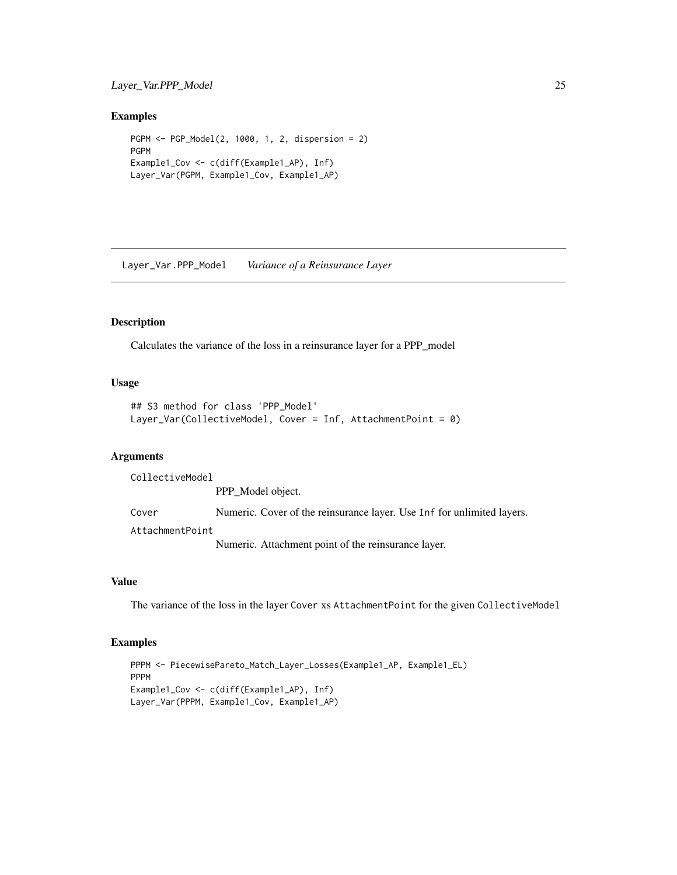# <span id="page-24-0"></span>Layer\_Var.PPP\_Model 25

#### Examples

```
PGPM <- PGP_Model(2, 1000, 1, 2, dispersion = 2)
PGPM
Example1_Cov <- c(diff(Example1_AP), Inf)
Layer_Var(PGPM, Example1_Cov, Example1_AP)
```
Layer\_Var.PPP\_Model *Variance of a Reinsurance Layer*

# Description

Calculates the variance of the loss in a reinsurance layer for a PPP\_model

#### Usage

```
## S3 method for class 'PPP_Model'
Layer_Var(CollectiveModel, Cover = Inf, AttachmentPoint = 0)
```
# Arguments

CollectiveModel

PPP\_Model object. Cover Numeric. Cover of the reinsurance layer. Use Inf for unlimited layers. AttachmentPoint

Numeric. Attachment point of the reinsurance layer.

#### Value

The variance of the loss in the layer Cover xs AttachmentPoint for the given CollectiveModel

```
PPPM <- PiecewisePareto_Match_Layer_Losses(Example1_AP, Example1_EL)
PPPM
Example1_Cov <- c(diff(Example1_AP), Inf)
Layer_Var(PPPM, Example1_Cov, Example1_AP)
```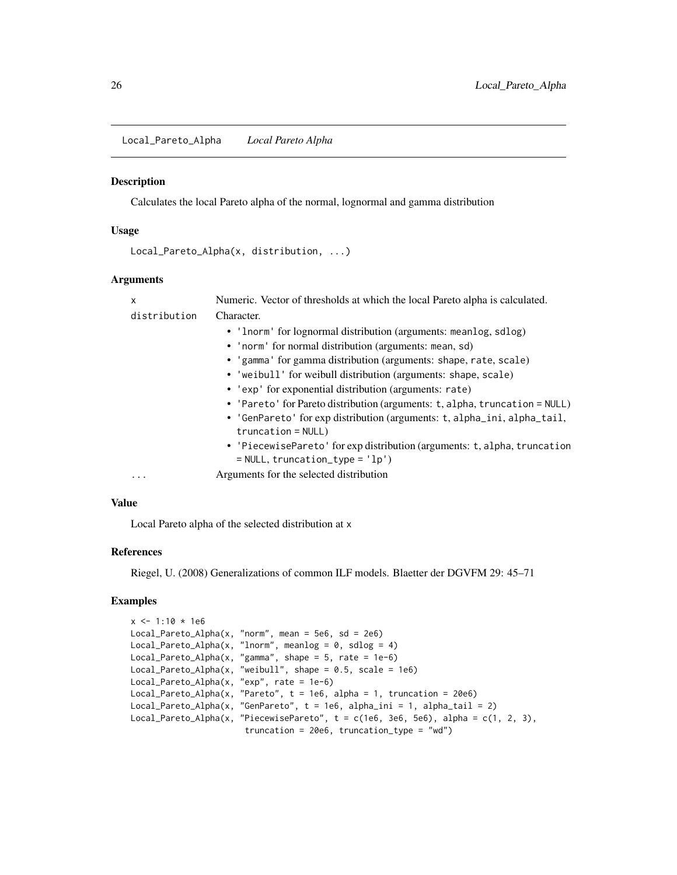<span id="page-25-0"></span>Local\_Pareto\_Alpha *Local Pareto Alpha*

#### Description

Calculates the local Pareto alpha of the normal, lognormal and gamma distribution

#### Usage

```
Local_Pareto_Alpha(x, distribution, ...)
```
# Arguments

| x            | Numeric. Vector of thresholds at which the local Pareto alpha is calculated.                                     |
|--------------|------------------------------------------------------------------------------------------------------------------|
| distribution | Character.                                                                                                       |
|              | • 'Inorm' for lognormal distribution (arguments: meanlog, sdlog)                                                 |
|              | • 'norm' for normal distribution (arguments: mean, sd)                                                           |
|              | • 'gamma' for gamma distribution (arguments: shape, rate, scale)                                                 |
|              | • 'weibull' for weibull distribution (arguments: shape, scale)                                                   |
|              | • 'exp' for exponential distribution (arguments: rate)                                                           |
|              | • 'Pareto' for Pareto distribution (arguments: t, alpha, truncation = NULL)                                      |
|              | • 'GenPareto' for exp distribution (arguments: t, alpha_ini, alpha_tail,<br>$truncation = NULL$ )                |
|              | • 'PiecewisePareto' for exp distribution (arguments: t, alpha, truncation<br>$=$ NULL, truncation_type = $'lp')$ |
| .            | Arguments for the selected distribution                                                                          |

#### Value

Local Pareto alpha of the selected distribution at x

# References

Riegel, U. (2008) Generalizations of common ILF models. Blaetter der DGVFM 29: 45–71

```
x \le -1:10 \times 1e6Local_Pareto_Alpha(x, "norm", mean = 5e6, sd = 2e6)
Local_Pareto_Alpha(x, "lnorm", meanlog = 0, sdlog = 4)
Local_Pareto_Alpha(x, "gamma", shape = 5, rate = 1e-6)
Local_Pareto_Alpha(x, "weibull", shape = 0.5, scale = 1e6)
Local_Pareto_Alpha(x, "exp", rate = 1e-6)
Local_Pareto_Alpha(x, "Pareto", t = 1e6, alpha = 1, truncation = 20e6)
Local_Pareto_Alpha(x, "GenPareto", t = 1e6, alpha_ini = 1, alpha_tail = 2)
Local_Pareto_Alpha(x, "PiecewisePareto", t = c(1e6, 3e6, 5e6), alpha = c(1, 2, 3),
                       truncation = 20e6, truncation_type = "wd")
```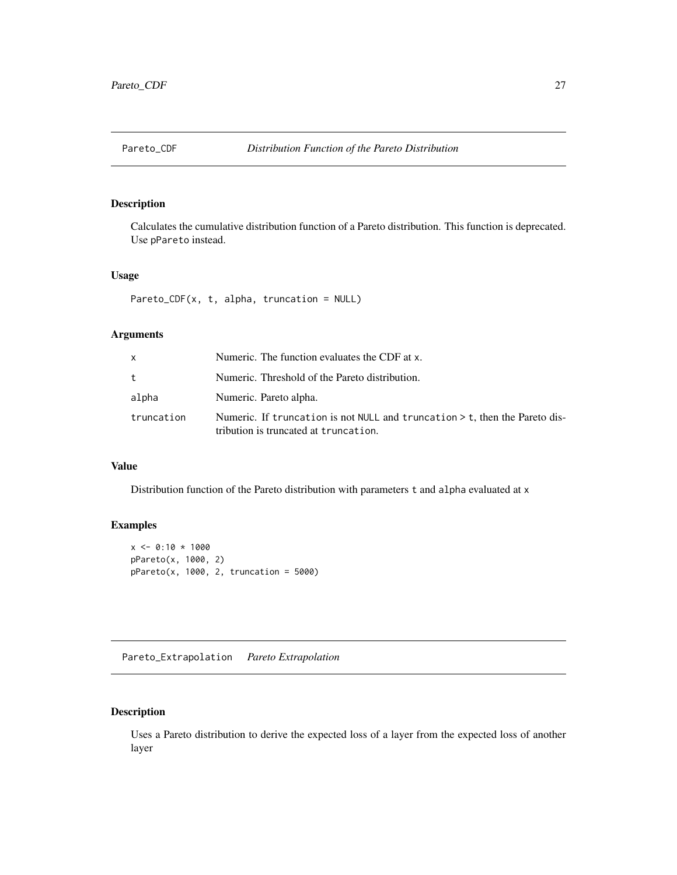<span id="page-26-0"></span>

# Description

Calculates the cumulative distribution function of a Pareto distribution. This function is deprecated. Use pPareto instead.

#### Usage

Pareto\_CDF(x, t, alpha, truncation = NULL)

# Arguments

| X          | Numeric. The function evaluates the CDF at x.                                                                          |
|------------|------------------------------------------------------------------------------------------------------------------------|
| $t_{-}$    | Numeric. Threshold of the Pareto distribution.                                                                         |
| alpha      | Numeric. Pareto alpha.                                                                                                 |
| truncation | Numeric. If truncation is not NULL and truncation $>$ t, then the Pareto dis-<br>tribution is truncated at truncation. |

#### Value

Distribution function of the Pareto distribution with parameters t and alpha evaluated at x

# Examples

```
x \le -0:10 * 1000pPareto(x, 1000, 2)
pPareto(x, 1000, 2, truncation = 5000)
```
Pareto\_Extrapolation *Pareto Extrapolation*

# Description

Uses a Pareto distribution to derive the expected loss of a layer from the expected loss of another layer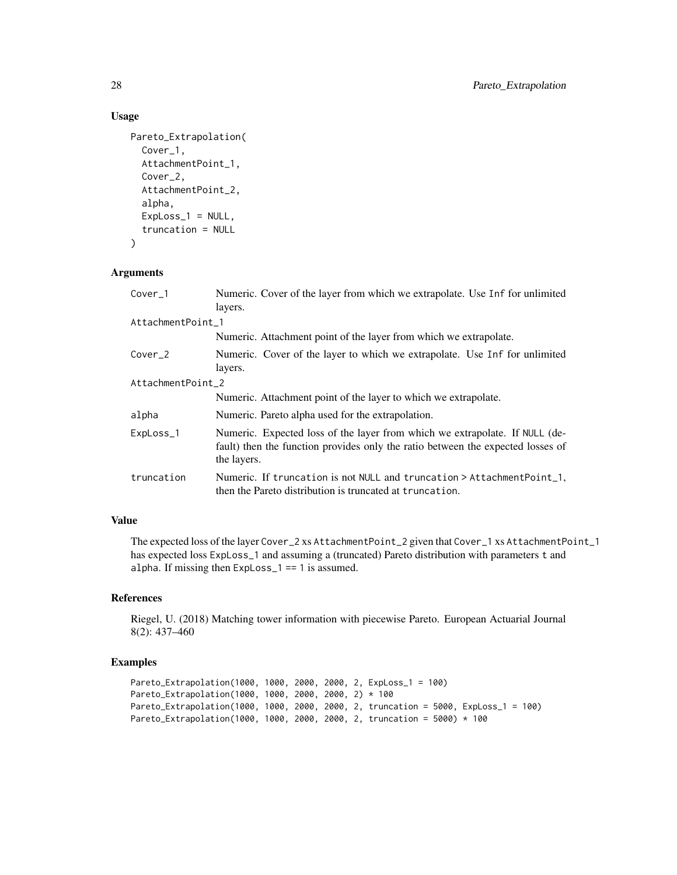# Usage

```
Pareto_Extrapolation(
  Cover_1,
  AttachmentPoint_1,
 Cover_2,
  AttachmentPoint_2,
  alpha,
  ExpLoss_1 = NULL,
  truncation = NULL
)
```
# Arguments

| $Cover_1$          | Numeric. Cover of the layer from which we extrapolate. Use Inf for unlimited<br>layers.                                                                                       |  |
|--------------------|-------------------------------------------------------------------------------------------------------------------------------------------------------------------------------|--|
| AttachmentPoint 1  |                                                                                                                                                                               |  |
|                    | Numeric. Attachment point of the layer from which we extrapolate.                                                                                                             |  |
| Cover <sub>2</sub> | Numeric. Cover of the layer to which we extrapolate. Use Inf for unlimited<br>layers.                                                                                         |  |
| AttachmentPoint_2  |                                                                                                                                                                               |  |
|                    | Numeric. Attachment point of the layer to which we extrapolate.                                                                                                               |  |
| alpha              | Numeric. Pareto alpha used for the extrapolation.                                                                                                                             |  |
| ExpLoss_1          | Numeric. Expected loss of the layer from which we extrapolate. If NULL (de-<br>fault) then the function provides only the ratio between the expected losses of<br>the layers. |  |
| truncation         | Numeric. If truncation is not NULL and truncation > AttachmentPoint_1,<br>then the Pareto distribution is truncated at truncation.                                            |  |

# Value

The expected loss of the layer Cover\_2 xs AttachmentPoint\_2 given that Cover\_1 xs AttachmentPoint\_1 has expected loss ExpLoss\_1 and assuming a (truncated) Pareto distribution with parameters t and alpha. If missing then ExpLoss\_1 == 1 is assumed.

#### References

Riegel, U. (2018) Matching tower information with piecewise Pareto. European Actuarial Journal 8(2): 437–460

```
Pareto_Extrapolation(1000, 1000, 2000, 2000, 2, ExpLoss_1 = 100)
Pareto_Extrapolation(1000, 1000, 2000, 2000, 2) * 100
Pareto_Extrapolation(1000, 1000, 2000, 2000, 2, truncation = 5000, ExpLoss_1 = 100)
Pareto_Extrapolation(1000, 1000, 2000, 2000, 2, truncation = 5000) * 100
```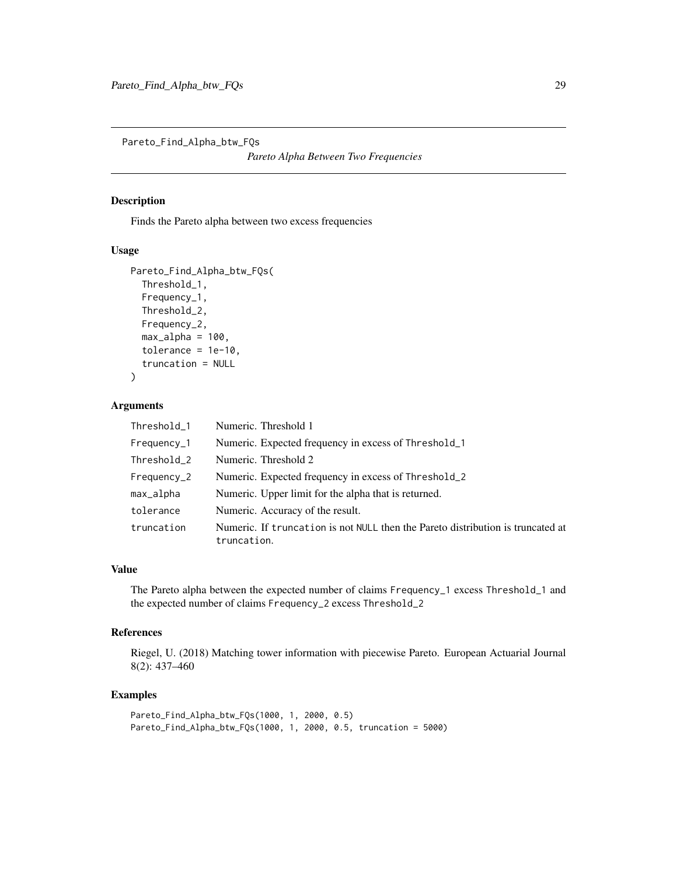<span id="page-28-0"></span>Pareto\_Find\_Alpha\_btw\_FQs

*Pareto Alpha Between Two Frequencies*

# Description

Finds the Pareto alpha between two excess frequencies

#### Usage

```
Pareto_Find_Alpha_btw_FQs(
  Threshold_1,
  Frequency_1,
  Threshold_2,
  Frequency_2,
  max_alpha = 100,
  tolerance = 1e-10,
  truncation = NULL
)
```
#### Arguments

| Threshold_1       | Numeric. Threshold 1                                                                           |
|-------------------|------------------------------------------------------------------------------------------------|
| Frequency_1       | Numeric. Expected frequency in excess of Threshold_1                                           |
| Threshold_2       | Numeric. Threshold 2                                                                           |
| $F$ requency $_2$ | Numeric. Expected frequency in excess of Threshold_2                                           |
| max_alpha         | Numeric. Upper limit for the alpha that is returned.                                           |
| tolerance         | Numeric. Accuracy of the result.                                                               |
| truncation        | Numeric. If truncation is not NULL then the Pareto distribution is truncated at<br>truncation. |

# Value

The Pareto alpha between the expected number of claims Frequency\_1 excess Threshold\_1 and the expected number of claims Frequency\_2 excess Threshold\_2

# References

Riegel, U. (2018) Matching tower information with piecewise Pareto. European Actuarial Journal 8(2): 437–460

```
Pareto_Find_Alpha_btw_FQs(1000, 1, 2000, 0.5)
Pareto_Find_Alpha_btw_FQs(1000, 1, 2000, 0.5, truncation = 5000)
```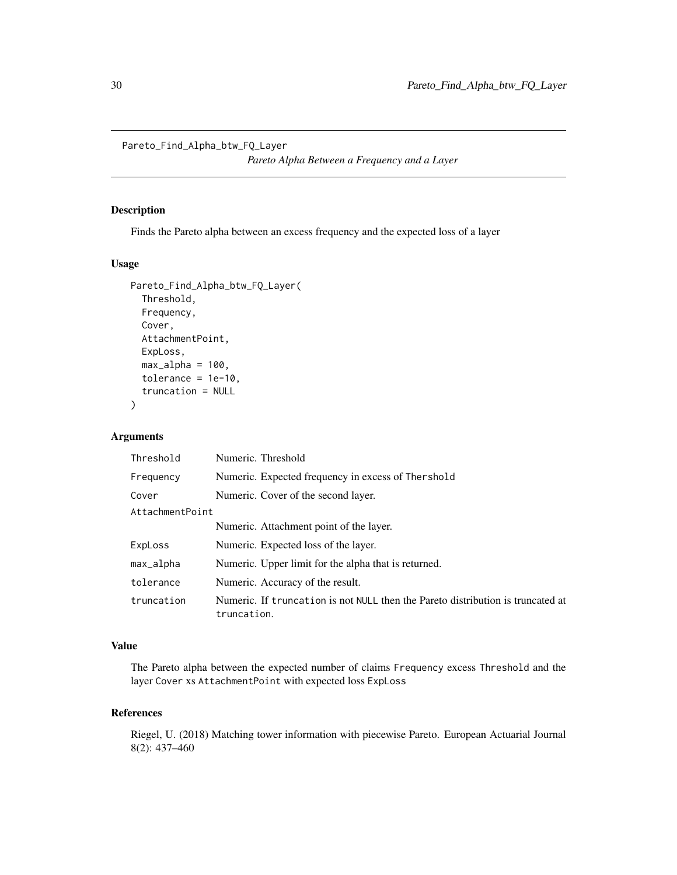<span id="page-29-0"></span>Pareto\_Find\_Alpha\_btw\_FQ\_Layer

*Pareto Alpha Between a Frequency and a Layer*

# Description

Finds the Pareto alpha between an excess frequency and the expected loss of a layer

#### Usage

```
Pareto_Find_Alpha_btw_FQ_Layer(
  Threshold,
  Frequency,
 Cover,
  AttachmentPoint,
  ExpLoss,
 max_alpha = 100,
  tolerance = 1e-10,
  truncation = NULL
)
```
# Arguments

| Threshold       | Numeric. Threshold                                                                             |
|-----------------|------------------------------------------------------------------------------------------------|
| Frequency       | Numeric. Expected frequency in excess of Thershold                                             |
| Cover           | Numeric. Cover of the second layer.                                                            |
| AttachmentPoint |                                                                                                |
|                 | Numeric. Attachment point of the layer.                                                        |
| ExpLoss         | Numeric. Expected loss of the layer.                                                           |
| max_alpha       | Numeric. Upper limit for the alpha that is returned.                                           |
| tolerance       | Numeric. Accuracy of the result.                                                               |
| truncation      | Numeric. If truncation is not NULL then the Pareto distribution is truncated at<br>truncation. |

# Value

The Pareto alpha between the expected number of claims Frequency excess Threshold and the layer Cover xs AttachmentPoint with expected loss ExpLoss

#### References

Riegel, U. (2018) Matching tower information with piecewise Pareto. European Actuarial Journal 8(2): 437–460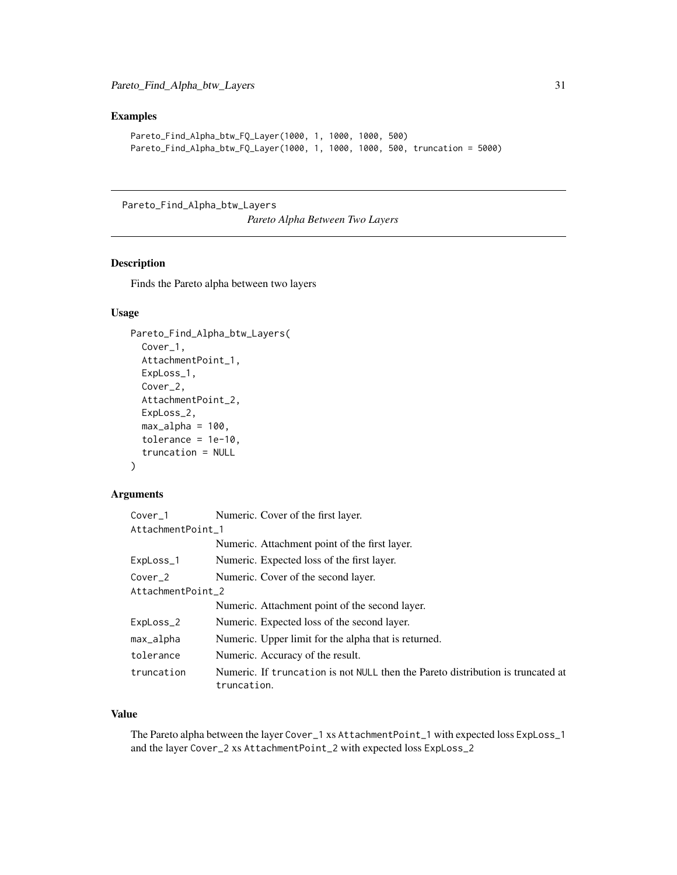# <span id="page-30-0"></span>Examples

```
Pareto_Find_Alpha_btw_FQ_Layer(1000, 1, 1000, 1000, 500)
Pareto_Find_Alpha_btw_FQ_Layer(1000, 1, 1000, 1000, 500, truncation = 5000)
```
Pareto\_Find\_Alpha\_btw\_Layers

*Pareto Alpha Between Two Layers*

# Description

Finds the Pareto alpha between two layers

# Usage

```
Pareto_Find_Alpha_btw_Layers(
  Cover_1,
  AttachmentPoint_1,
 ExpLoss_1,
  Cover_2,
  AttachmentPoint_2,
 ExpLoss_2,
  max_a1pha = 100,
  tolerance = 1e-10,
  truncation = NULL
)
```
#### Arguments

| Cover_1            | Numeric. Cover of the first layer.                                                             |  |
|--------------------|------------------------------------------------------------------------------------------------|--|
| AttachmentPoint 1  |                                                                                                |  |
|                    | Numeric. Attachment point of the first layer.                                                  |  |
| ExpLoss_1          | Numeric. Expected loss of the first layer.                                                     |  |
| Cover <sub>2</sub> | Numeric. Cover of the second layer.                                                            |  |
| AttachmentPoint 2  |                                                                                                |  |
|                    | Numeric. Attachment point of the second layer.                                                 |  |
| ExpLoss_2          | Numeric. Expected loss of the second layer.                                                    |  |
| max_alpha          | Numeric. Upper limit for the alpha that is returned.                                           |  |
| tolerance          | Numeric. Accuracy of the result.                                                               |  |
| truncation         | Numeric. If truncation is not NULL then the Pareto distribution is truncated at<br>truncation. |  |

#### Value

The Pareto alpha between the layer Cover\_1 xs AttachmentPoint\_1 with expected loss ExpLoss\_1 and the layer Cover\_2 xs AttachmentPoint\_2 with expected loss ExpLoss\_2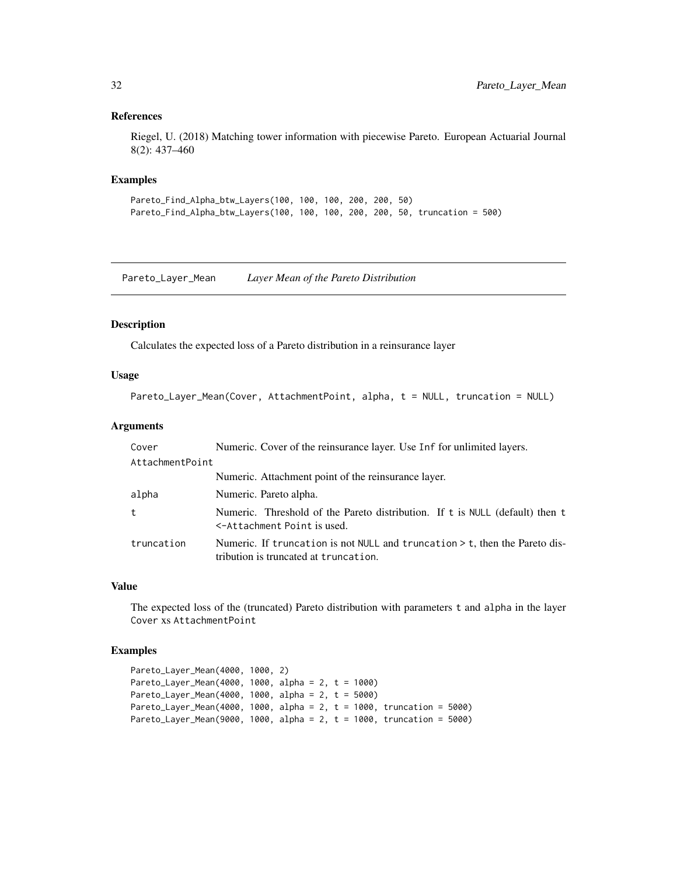#### <span id="page-31-0"></span>References

Riegel, U. (2018) Matching tower information with piecewise Pareto. European Actuarial Journal 8(2): 437–460

#### Examples

```
Pareto_Find_Alpha_btw_Layers(100, 100, 100, 200, 200, 50)
Pareto_Find_Alpha_btw_Layers(100, 100, 100, 200, 200, 50, truncation = 500)
```
Pareto\_Layer\_Mean *Layer Mean of the Pareto Distribution*

#### Description

Calculates the expected loss of a Pareto distribution in a reinsurance layer

#### Usage

```
Pareto_Layer_Mean(Cover, AttachmentPoint, alpha, t = NULL, truncation = NULL)
```
# Arguments

| Cover           | Numeric. Cover of the reinsurance layer. Use Inf for unlimited layers.                                                 |
|-----------------|------------------------------------------------------------------------------------------------------------------------|
| AttachmentPoint |                                                                                                                        |
|                 | Numeric. Attachment point of the reinsurance layer.                                                                    |
| alpha           | Numeric. Pareto alpha.                                                                                                 |
| t               | Numeric. Threshold of the Pareto distribution. If t is NULL (default) then t<br><-Attachment Point is used.            |
| truncation      | Numeric. If truncation is not NULL and truncation $>$ t, then the Pareto dis-<br>tribution is truncated at truncation. |

#### Value

The expected loss of the (truncated) Pareto distribution with parameters t and alpha in the layer Cover xs AttachmentPoint

```
Pareto_Layer_Mean(4000, 1000, 2)
Pareto_Layer_Mean(4000, 1000, alpha = 2, t = 1000)
Pareto_Layer_Mean(4000, 1000, alpha = 2, t = 5000)
Pareto_Layer_Mean(4000, 1000, alpha = 2, t = 1000, truncation = 5000)
Pareto_Layer_Mean(9000, 1000, alpha = 2, t = 1000, truncation = 5000)
```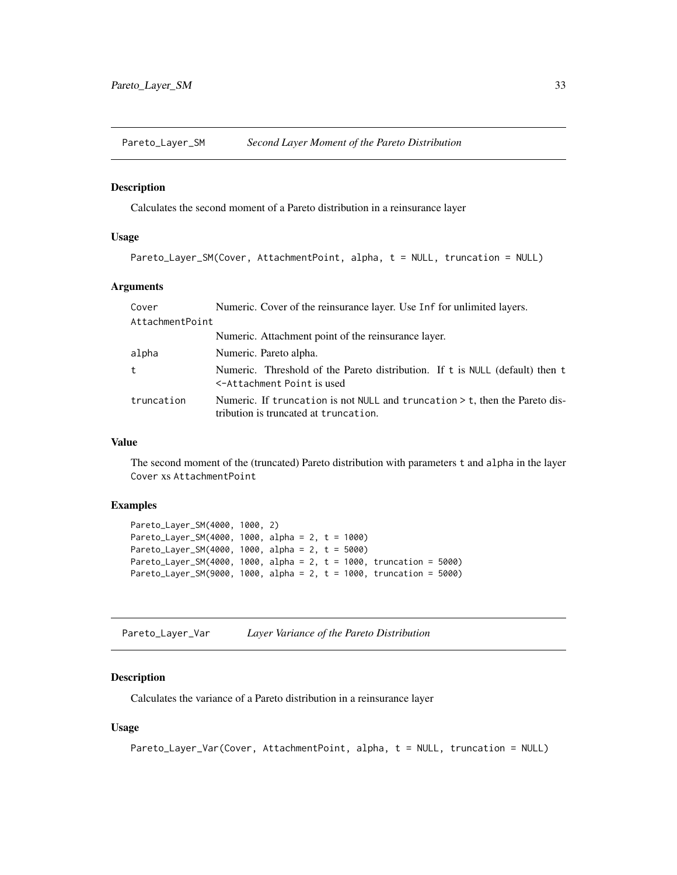<span id="page-32-0"></span>Pareto\_Layer\_SM *Second Layer Moment of the Pareto Distribution*

#### Description

Calculates the second moment of a Pareto distribution in a reinsurance layer

# Usage

```
Pareto_Layer_SM(Cover, AttachmentPoint, alpha, t = NULL, truncation = NULL)
```
# Arguments

| Cover           | Numeric. Cover of the reinsurance layer. Use Inf for unlimited layers.                                                 |
|-----------------|------------------------------------------------------------------------------------------------------------------------|
| AttachmentPoint |                                                                                                                        |
|                 | Numeric. Attachment point of the reinsurance layer.                                                                    |
| alpha           | Numeric. Pareto alpha.                                                                                                 |
| t               | Numeric. Threshold of the Pareto distribution. If t is NULL (default) then t<br><-Attachment Point is used             |
| truncation      | Numeric. If truncation is not NULL and truncation $>$ t, then the Pareto dis-<br>tribution is truncated at truncation. |

#### Value

The second moment of the (truncated) Pareto distribution with parameters t and alpha in the layer Cover xs AttachmentPoint

# Examples

```
Pareto_Layer_SM(4000, 1000, 2)
Pareto_Layer_SM(4000, 1000, alpha = 2, t = 1000)
Pareto_Layer_SM(4000, 1000, alpha = 2, t = 5000)
Pareto_Layer_SM(4000, 1000, alpha = 2, t = 1000, truncation = 5000)
Pareto_Layer_SM(9000, 1000, alpha = 2, t = 1000, truncation = 5000)
```
Pareto\_Layer\_Var *Layer Variance of the Pareto Distribution*

# Description

Calculates the variance of a Pareto distribution in a reinsurance layer

#### Usage

```
Pareto_Layer_Var(Cover, AttachmentPoint, alpha, t = NULL, truncation = NULL)
```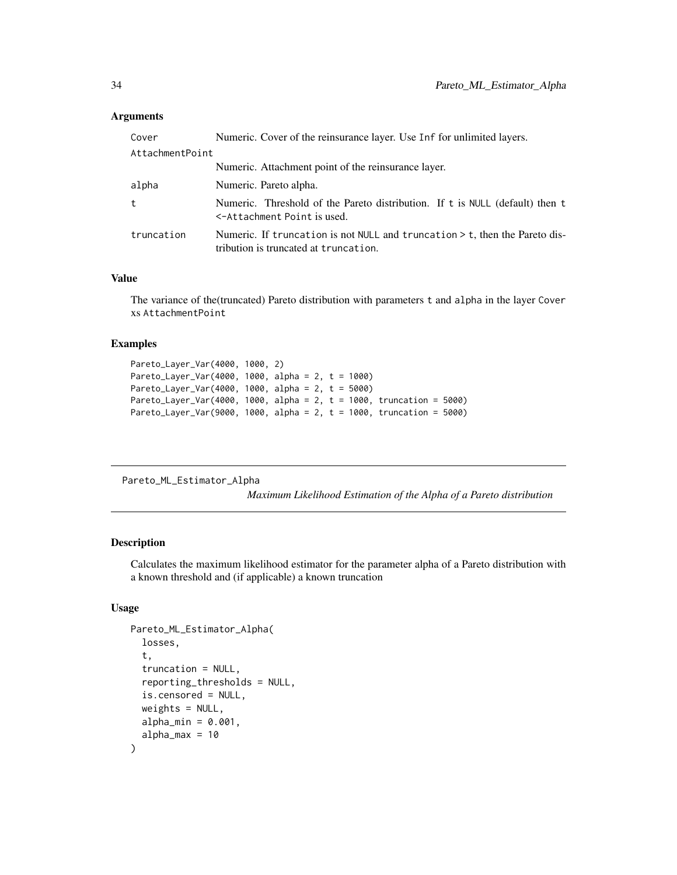#### <span id="page-33-0"></span>**Arguments**

| Cover           | Numeric. Cover of the reinsurance layer. Use Inf for unlimited layers.                                                 |
|-----------------|------------------------------------------------------------------------------------------------------------------------|
| AttachmentPoint |                                                                                                                        |
|                 | Numeric. Attachment point of the reinsurance layer.                                                                    |
| alpha           | Numeric. Pareto alpha.                                                                                                 |
| t               | Numeric. Threshold of the Pareto distribution. If t is NULL (default) then t<br><-Attachment Point is used.            |
| truncation      | Numeric. If truncation is not NULL and truncation $>$ t, then the Pareto dis-<br>tribution is truncated at truncation. |

# Value

The variance of the(truncated) Pareto distribution with parameters t and alpha in the layer Cover xs AttachmentPoint

#### Examples

```
Pareto_Layer_Var(4000, 1000, 2)
Pareto_Layer_Var(4000, 1000, alpha = 2, t = 1000)
Pareto_Layer_Var(4000, 1000, alpha = 2, t = 5000)
Pareto_Layer_Var(4000, 1000, alpha = 2, t = 1000, truncation = 5000)
Pareto_Layer_Var(9000, 1000, alpha = 2, t = 1000, truncation = 5000)
```
Pareto\_ML\_Estimator\_Alpha

*Maximum Likelihood Estimation of the Alpha of a Pareto distribution*

### Description

Calculates the maximum likelihood estimator for the parameter alpha of a Pareto distribution with a known threshold and (if applicable) a known truncation

# Usage

```
Pareto_ML_Estimator_Alpha(
  losses,
  t,
  truncation = NULL,
  reporting_thresholds = NULL,
  is.censored = NULL,
  weights = NULL,alpha_{min} = 0.001,alpha_max = 10)
```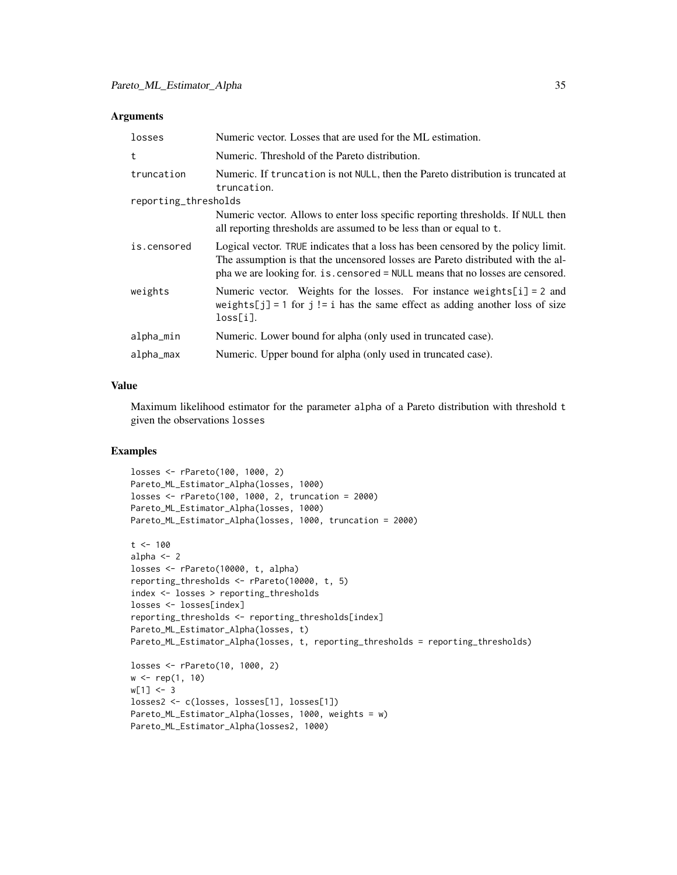#### **Arguments**

| losses               | Numeric vector. Losses that are used for the ML estimation.                                                                                                                                                                                            |
|----------------------|--------------------------------------------------------------------------------------------------------------------------------------------------------------------------------------------------------------------------------------------------------|
| t                    | Numeric. Threshold of the Pareto distribution.                                                                                                                                                                                                         |
| truncation           | Numeric. If truncation is not NULL, then the Pareto distribution is truncated at<br>truncation.                                                                                                                                                        |
| reporting_thresholds |                                                                                                                                                                                                                                                        |
|                      | Numeric vector. Allows to enter loss specific reporting thresholds. If NULL then<br>all reporting thresholds are assumed to be less than or equal to t.                                                                                                |
| is.censored          | Logical vector. TRUE indicates that a loss has been censored by the policy limit.<br>The assumption is that the uncensored losses are Pareto distributed with the al-<br>pha we are looking for. is censored = NULL means that no losses are censored. |
| weights              | Numeric vector. Weights for the losses. For instance weights $[i] = 2$ and<br>weights[j] = 1 for j != i has the same effect as adding another loss of size<br>loss[i].                                                                                 |
| alpha_min            | Numeric. Lower bound for alpha (only used in truncated case).                                                                                                                                                                                          |
| alpha_max            | Numeric. Upper bound for alpha (only used in truncated case).                                                                                                                                                                                          |

# Value

Maximum likelihood estimator for the parameter alpha of a Pareto distribution with threshold t given the observations losses

```
losses <- rPareto(100, 1000, 2)
Pareto_ML_Estimator_Alpha(losses, 1000)
losses <- rPareto(100, 1000, 2, truncation = 2000)
Pareto_ML_Estimator_Alpha(losses, 1000)
Pareto_ML_Estimator_Alpha(losses, 1000, truncation = 2000)
t < -100alpha <-2losses <- rPareto(10000, t, alpha)
reporting_thresholds <- rPareto(10000, t, 5)
index <- losses > reporting_thresholds
losses <- losses[index]
reporting_thresholds <- reporting_thresholds[index]
Pareto_ML_Estimator_Alpha(losses, t)
Pareto_ML_Estimator_Alpha(losses, t, reporting_thresholds = reporting_thresholds)
losses <- rPareto(10, 1000, 2)
w <- rep(1, 10)
w[1] < -3losses2 <- c(losses, losses[1], losses[1])
Pareto_ML_Estimator_Alpha(losses, 1000, weights = w)
Pareto_ML_Estimator_Alpha(losses2, 1000)
```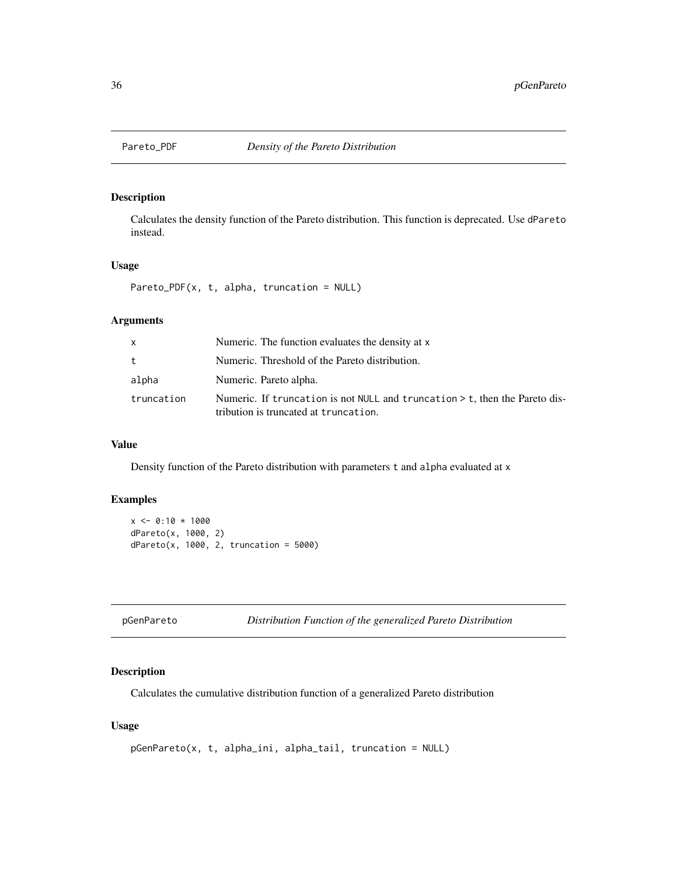<span id="page-35-0"></span>

# Description

Calculates the density function of the Pareto distribution. This function is deprecated. Use dPareto instead.

#### Usage

Pareto\_PDF(x, t, alpha, truncation = NULL)

#### Arguments

| X          | Numeric. The function evaluates the density at x                                                                       |
|------------|------------------------------------------------------------------------------------------------------------------------|
| $t_{-}$    | Numeric. Threshold of the Pareto distribution.                                                                         |
| alpha      | Numeric. Pareto alpha.                                                                                                 |
| truncation | Numeric. If truncation is not NULL and truncation $>$ t, then the Pareto dis-<br>tribution is truncated at truncation. |

# Value

Density function of the Pareto distribution with parameters t and alpha evaluated at x

# Examples

```
x \le 0:10 * 1000dPareto(x, 1000, 2)
dPareto(x, 1000, 2, truncation = <math>5000</math>)
```

| pGenPareto |  |
|------------|--|
|------------|--|

pGenPareto *Distribution Function of the generalized Pareto Distribution*

#### Description

Calculates the cumulative distribution function of a generalized Pareto distribution

#### Usage

```
pGenPareto(x, t, alpha_ini, alpha_tail, truncation = NULL)
```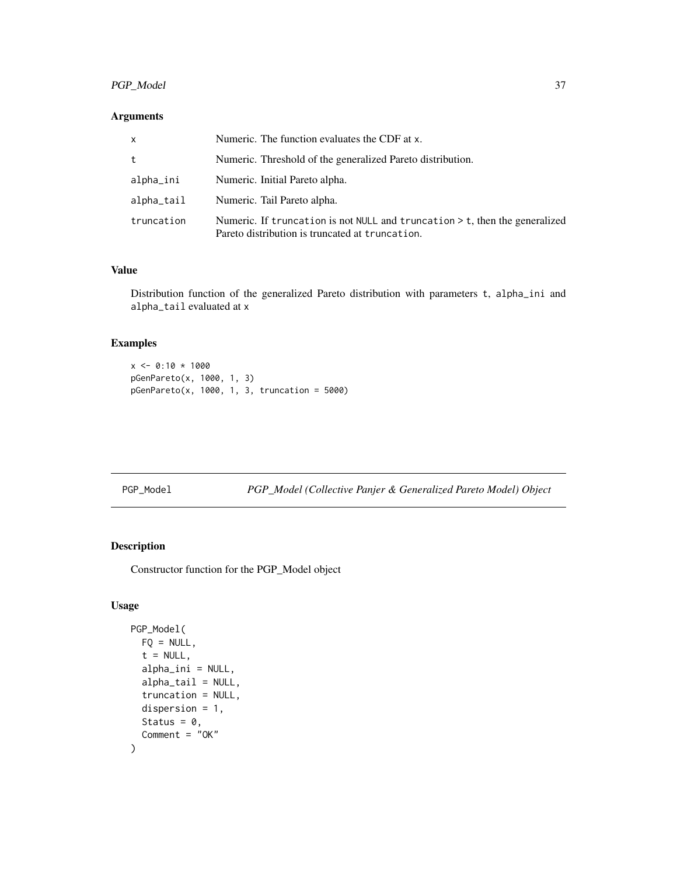# <span id="page-36-0"></span>PGP\_Model 37

# Arguments

| $\mathsf{x}$ | Numeric. The function evaluates the CDF at x.                                                                                    |
|--------------|----------------------------------------------------------------------------------------------------------------------------------|
| t            | Numeric. Threshold of the generalized Pareto distribution.                                                                       |
| alpha_ini    | Numeric. Initial Pareto alpha.                                                                                                   |
| alpha_tail   | Numeric. Tail Pareto alpha.                                                                                                      |
| truncation   | Numeric. If truncation is not NULL and truncation $>$ t, then the generalized<br>Pareto distribution is truncated at truncation. |

# Value

Distribution function of the generalized Pareto distribution with parameters t, alpha\_ini and alpha\_tail evaluated at x

# Examples

```
x \le 0:10 * 1000pGenPareto(x, 1000, 1, 3)
pGenPareto(x, 1000, 1, 3, truncation = 5000)
```
PGP\_Model *PGP\_Model (Collective Panjer & Generalized Pareto Model) Object*

# Description

Constructor function for the PGP\_Model object

#### Usage

```
PGP_Model(
 FQ = NULL,t = NULL,alpha_ini = NULL,
  alpha_tail = NULL,
  truncation = NULL,
  dispersion = 1,
  Status = 0,Comment = "OK"
\mathcal{L}
```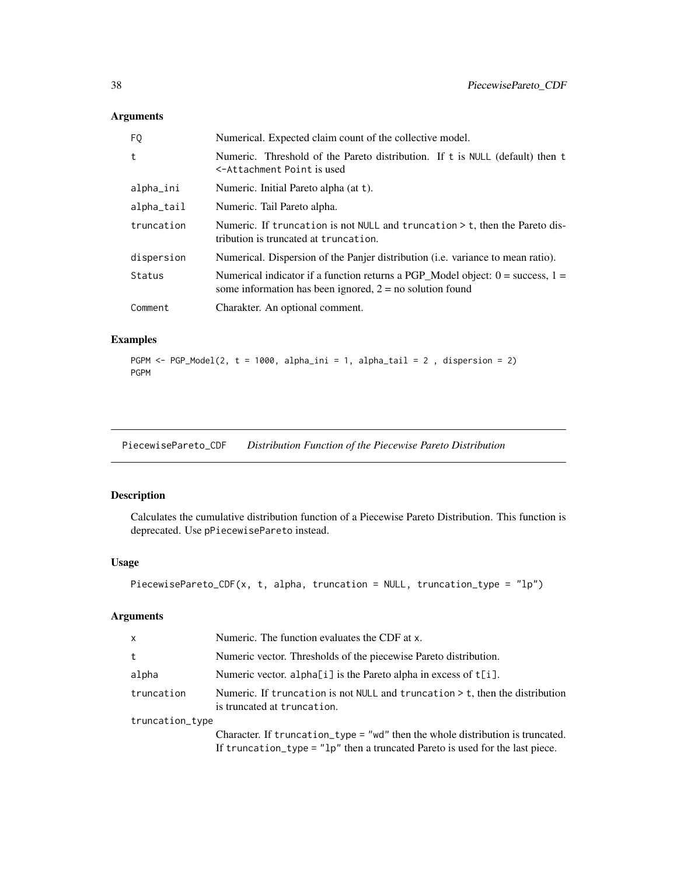# <span id="page-37-0"></span>Arguments

| FQ            | Numerical. Expected claim count of the collective model.                                                                                         |
|---------------|--------------------------------------------------------------------------------------------------------------------------------------------------|
| t             | Numeric. Threshold of the Pareto distribution. If t is NULL (default) then t<br><-Attachment Point is used                                       |
| alpha_ini     | Numeric. Initial Pareto alpha (at t).                                                                                                            |
| $alpha\_tail$ | Numeric. Tail Pareto alpha.                                                                                                                      |
| truncation    | Numeric. If truncation is not NULL and truncation $>$ t, then the Pareto dis-<br>tribution is truncated at truncation.                           |
| dispersion    | Numerical. Dispersion of the Panjer distribution ( <i>i.e.</i> variance to mean ratio).                                                          |
| Status        | Numerical indicator if a function returns a PGP_Model object: $0 =$ success, $1 =$<br>some information has been ignored, $2 = no$ solution found |
| Comment       | Charakter. An optional comment.                                                                                                                  |

# Examples

```
PGPM \leq PGP_Model(2, t = 1000, alpha_ini = 1, alpha_tail = 2, dispersion = 2)
PGPM
```
PiecewisePareto\_CDF *Distribution Function of the Piecewise Pareto Distribution*

# Description

Calculates the cumulative distribution function of a Piecewise Pareto Distribution. This function is deprecated. Use pPiecewisePareto instead.

# Usage

```
PiecewisePareto_CDF(x, t, alpha, truncation = NULL, truncation_type = "lp")
```
# Arguments

| X.              | Numeric. The function evaluates the CDF at x.                                                                                                                     |  |
|-----------------|-------------------------------------------------------------------------------------------------------------------------------------------------------------------|--|
| t.              | Numeric vector. Thresholds of the piecewise Pareto distribution.                                                                                                  |  |
| alpha           | Numeric vector. alpha $[i]$ is the Pareto alpha in excess of $t[i]$ .                                                                                             |  |
| truncation      | Numeric. If truncation is not NULL and truncation $>$ t, then the distribution<br>is truncated at truncation.                                                     |  |
| truncation_type |                                                                                                                                                                   |  |
|                 | Character. If truncation_type = "wd" then the whole distribution is truncated.<br>If truncation_type = $"lp"$ then a truncated Pareto is used for the last piece. |  |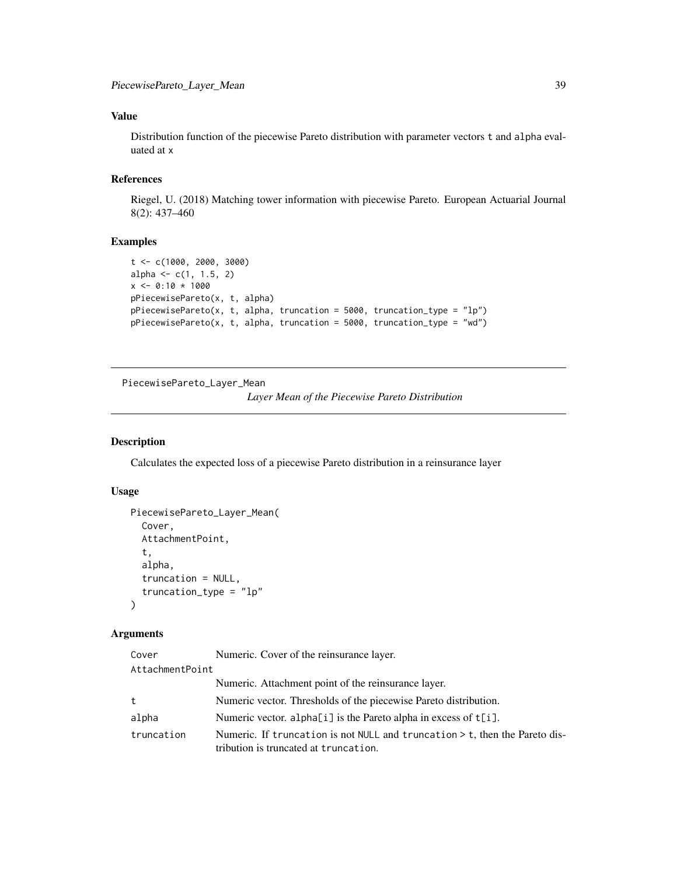# <span id="page-38-0"></span>Value

Distribution function of the piecewise Pareto distribution with parameter vectors t and alpha evaluated at x

# References

Riegel, U. (2018) Matching tower information with piecewise Pareto. European Actuarial Journal 8(2): 437–460

#### Examples

```
t <- c(1000, 2000, 3000)
alpha <- c(1, 1.5, 2)
x \le -0:10 * 1000pPiecewisePareto(x, t, alpha)
pPiecewisePareto(x, t, alpha, truncation = 5000, truncation_type = "lp")
pPiecewisePareto(x, t, alpha, truncation = 5000, truncation_type = "wd")
```
PiecewisePareto\_Layer\_Mean *Layer Mean of the Piecewise Pareto Distribution*

#### Description

Calculates the expected loss of a piecewise Pareto distribution in a reinsurance layer

# Usage

```
PiecewisePareto_Layer_Mean(
  Cover,
  AttachmentPoint,
  t,
  alpha,
  truncation = NULL,
  truncation_type = "lp"
)
```
# Arguments

| Cover           | Numeric. Cover of the reinsurance layer.                                                                             |
|-----------------|----------------------------------------------------------------------------------------------------------------------|
| AttachmentPoint |                                                                                                                      |
|                 | Numeric. Attachment point of the reinsurance layer.                                                                  |
| t               | Numeric vector. Thresholds of the piecewise Pareto distribution.                                                     |
| alpha           | Numeric vector. alpha[i] is the Pareto alpha in excess of t[i].                                                      |
| truncation      | Numeric. If truncation is not NULL and truncation > t, then the Pareto dis-<br>tribution is truncated at truncation. |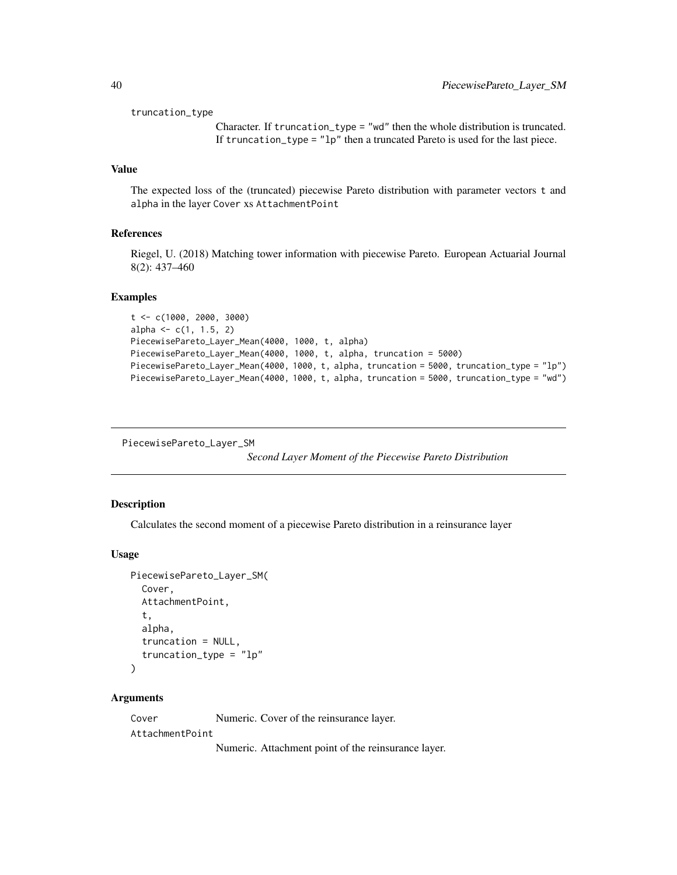<span id="page-39-0"></span>truncation\_type

Character. If truncation\_type = "wd" then the whole distribution is truncated. If truncation\_type = "lp" then a truncated Pareto is used for the last piece.

# Value

The expected loss of the (truncated) piecewise Pareto distribution with parameter vectors t and alpha in the layer Cover xs AttachmentPoint

#### References

Riegel, U. (2018) Matching tower information with piecewise Pareto. European Actuarial Journal 8(2): 437–460

#### Examples

```
t <- c(1000, 2000, 3000)
alpha \leq c(1, 1.5, 2)PiecewisePareto_Layer_Mean(4000, 1000, t, alpha)
PiecewisePareto_Layer_Mean(4000, 1000, t, alpha, truncation = 5000)
PiecewisePareto_Layer_Mean(4000, 1000, t, alpha, truncation = 5000, truncation_type = "lp")
PiecewisePareto_Layer_Mean(4000, 1000, t, alpha, truncation = 5000, truncation_type = "wd")
```
PiecewisePareto\_Layer\_SM

*Second Layer Moment of the Piecewise Pareto Distribution*

#### Description

Calculates the second moment of a piecewise Pareto distribution in a reinsurance layer

#### Usage

```
PiecewisePareto_Layer_SM(
  Cover,
  AttachmentPoint,
  t,
  alpha,
  truncation = NULL,
  truncation_type = "lp"
\lambda
```
#### Arguments

Cover Numeric. Cover of the reinsurance layer. AttachmentPoint Numeric. Attachment point of the reinsurance layer.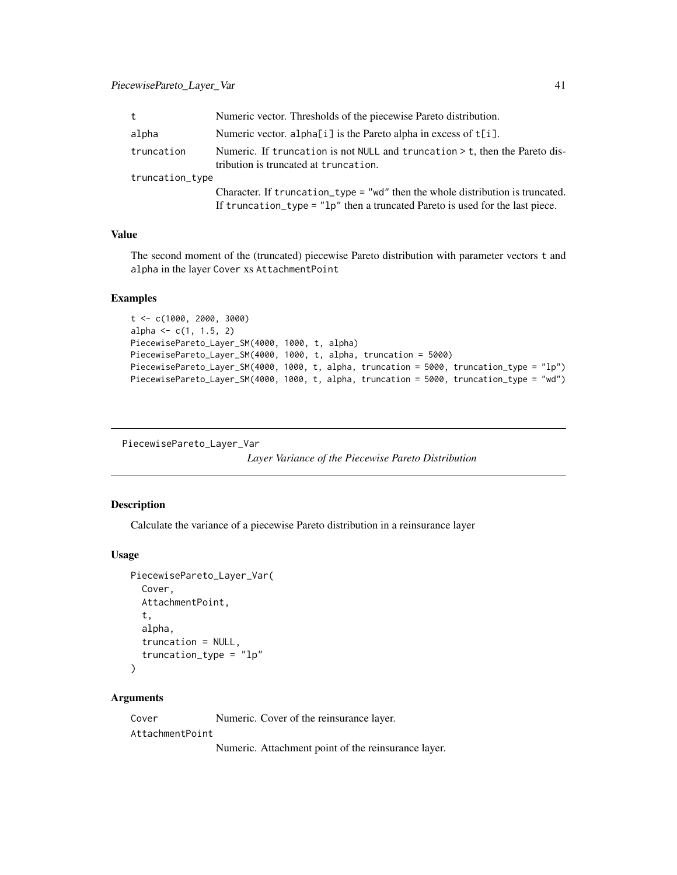# <span id="page-40-0"></span>PiecewisePareto\_Layer\_Var 41

| t               | Numeric vector. Thresholds of the piecewise Pareto distribution.                                                                                                  |  |
|-----------------|-------------------------------------------------------------------------------------------------------------------------------------------------------------------|--|
| alpha           | Numeric vector. alpha $[i]$ is the Pareto alpha in excess of $t[i]$ .                                                                                             |  |
| truncation      | Numeric. If truncation is not NULL and truncation $>$ t, then the Pareto dis-<br>tribution is truncated at truncation.                                            |  |
| truncation_type |                                                                                                                                                                   |  |
|                 | Character. If truncation_type = "wd" then the whole distribution is truncated.<br>If truncation_type = $"lp"$ then a truncated Pareto is used for the last piece. |  |

#### Value

The second moment of the (truncated) piecewise Pareto distribution with parameter vectors t and alpha in the layer Cover xs AttachmentPoint

# Examples

```
t < -c(1000, 2000, 3000)alpha \leq c(1, 1.5, 2)PiecewisePareto_Layer_SM(4000, 1000, t, alpha)
PiecewisePareto_Layer_SM(4000, 1000, t, alpha, truncation = 5000)
PiecewisePareto_Layer_SM(4000, 1000, t, alpha, truncation = 5000, truncation_type = "lp")
PiecewisePareto_Layer_SM(4000, 1000, t, alpha, truncation = 5000, truncation_type = "wd")
```

```
PiecewisePareto_Layer_Var
```
*Layer Variance of the Piecewise Pareto Distribution*

# Description

Calculate the variance of a piecewise Pareto distribution in a reinsurance layer

#### Usage

```
PiecewisePareto_Layer_Var(
  Cover,
  AttachmentPoint,
  t,
  alpha,
  truncation = NULL,
  truncation_type = "lp"
)
```
#### Arguments

Cover Numeric. Cover of the reinsurance layer. AttachmentPoint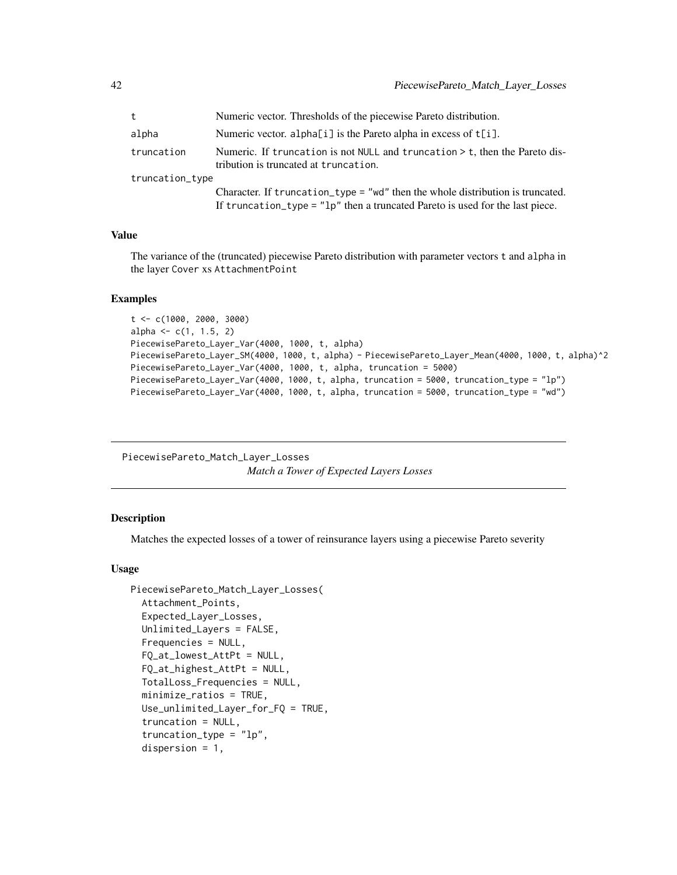<span id="page-41-0"></span>

| t               | Numeric vector. Thresholds of the piecewise Pareto distribution.                                                                                                  |  |
|-----------------|-------------------------------------------------------------------------------------------------------------------------------------------------------------------|--|
| alpha           | Numeric vector. alpha[i] is the Pareto alpha in excess of t[i].                                                                                                   |  |
| truncation      | Numeric. If truncation is not NULL and truncation $\geq$ t, then the Pareto dis-<br>tribution is truncated at truncation.                                         |  |
| truncation_type |                                                                                                                                                                   |  |
|                 | Character. If truncation_type = "wd" then the whole distribution is truncated.<br>If truncation_type = $"lp"$ then a truncated Pareto is used for the last piece. |  |

#### Value

The variance of the (truncated) piecewise Pareto distribution with parameter vectors t and alpha in the layer Cover xs AttachmentPoint

# Examples

```
t <- c(1000, 2000, 3000)
alpha \leq c(1, 1.5, 2)PiecewisePareto_Layer_Var(4000, 1000, t, alpha)
PiecewisePareto_Layer_SM(4000, 1000, t, alpha) - PiecewisePareto_Layer_Mean(4000, 1000, t, alpha)^2
PiecewisePareto_Layer_Var(4000, 1000, t, alpha, truncation = 5000)
PiecewisePareto_Layer_Var(4000, 1000, t, alpha, truncation = 5000, truncation_type = "lp")
PiecewisePareto_Layer_Var(4000, 1000, t, alpha, truncation = 5000, truncation_type = "wd")
```
PiecewisePareto\_Match\_Layer\_Losses *Match a Tower of Expected Layers Losses*

#### Description

Matches the expected losses of a tower of reinsurance layers using a piecewise Pareto severity

#### Usage

```
PiecewisePareto_Match_Layer_Losses(
  Attachment_Points,
  Expected_Layer_Losses,
  Unlimited_Layers = FALSE,
  Frequencies = NULL,
  FQ_at_lowest_AttPt = NULL,
  FQ_at_highest_AttPt = NULL,
  TotalLoss_Frequencies = NULL,
  minimize_ratios = TRUE,
  Use_unlimited_Layer_for_FQ = TRUE,
  truncation = NULL,
  truncation_type = "lp",
  dispersion = 1,
```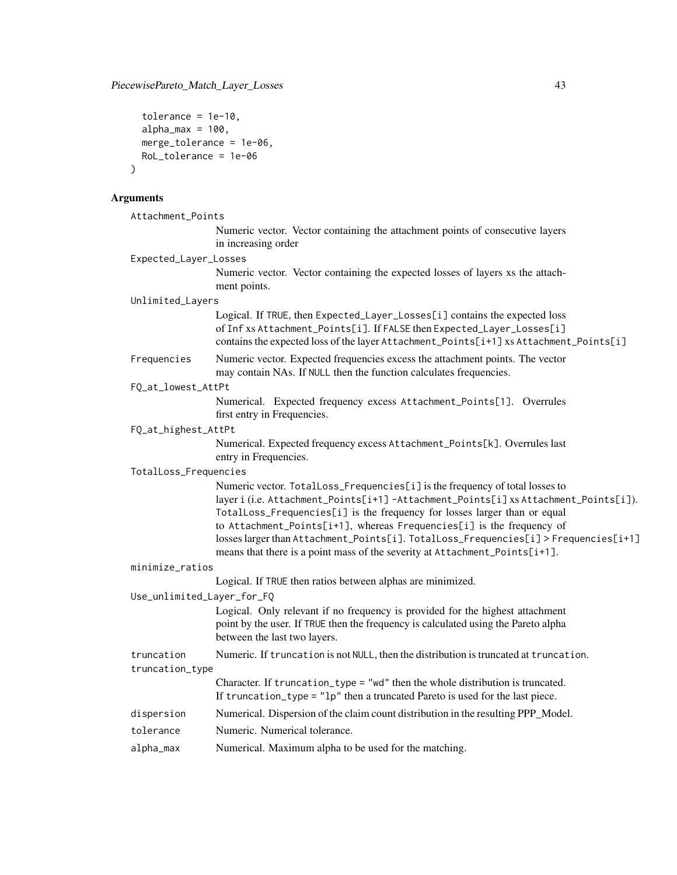```
tolerance = 1e-10,
 alpha_max = 100,
 merge_tolerance = 1e-06,
 RoL_tolerance = 1e-06
\mathcal{L}
```
# Arguments

| Attachment_Points          |                                                                                                                                                                                                                                                                                                                                                                                                                                                                                                  |
|----------------------------|--------------------------------------------------------------------------------------------------------------------------------------------------------------------------------------------------------------------------------------------------------------------------------------------------------------------------------------------------------------------------------------------------------------------------------------------------------------------------------------------------|
|                            | Numeric vector. Vector containing the attachment points of consecutive layers<br>in increasing order                                                                                                                                                                                                                                                                                                                                                                                             |
| Expected_Layer_Losses      |                                                                                                                                                                                                                                                                                                                                                                                                                                                                                                  |
|                            | Numeric vector. Vector containing the expected losses of layers xs the attach-<br>ment points.                                                                                                                                                                                                                                                                                                                                                                                                   |
| Unlimited_Layers           |                                                                                                                                                                                                                                                                                                                                                                                                                                                                                                  |
|                            | Logical. If TRUE, then Expected_Layer_Losses[i] contains the expected loss<br>of Inf xs Attachment_Points[i]. If FALSE then Expected_Layer_Losses[i]<br>contains the expected loss of the layer Attachment_Points[i+1] xs Attachment_Points[i]                                                                                                                                                                                                                                                   |
| Frequencies                | Numeric vector. Expected frequencies excess the attachment points. The vector<br>may contain NAs. If NULL then the function calculates frequencies.                                                                                                                                                                                                                                                                                                                                              |
| FQ_at_lowest_AttPt         |                                                                                                                                                                                                                                                                                                                                                                                                                                                                                                  |
|                            | Numerical. Expected frequency excess Attachment_Points[1]. Overrules<br>first entry in Frequencies.                                                                                                                                                                                                                                                                                                                                                                                              |
| FQ_at_highest_AttPt        |                                                                                                                                                                                                                                                                                                                                                                                                                                                                                                  |
|                            | Numerical. Expected frequency excess Attachment_Points[k]. Overrules last<br>entry in Frequencies.                                                                                                                                                                                                                                                                                                                                                                                               |
| TotalLoss_Frequencies      |                                                                                                                                                                                                                                                                                                                                                                                                                                                                                                  |
|                            | Numeric vector. TotalLoss_Frequencies[i] is the frequency of total losses to<br>layer i (i.e. Attachment_Points[i+1]-Attachment_Points[i] xs Attachment_Points[i]).<br>TotalLoss_Frequencies[i] is the frequency for losses larger than or equal<br>to Attachment_Points[i+1], whereas Frequencies[i] is the frequency of<br>losses larger than Attachment_Points[i]. TotalLoss_Frequencies[i] > Frequencies[i+1]<br>means that there is a point mass of the severity at Attachment_Points[i+1]. |
| minimize_ratios            |                                                                                                                                                                                                                                                                                                                                                                                                                                                                                                  |
|                            | Logical. If TRUE then ratios between alphas are minimized.                                                                                                                                                                                                                                                                                                                                                                                                                                       |
| Use_unlimited_Layer_for_FQ |                                                                                                                                                                                                                                                                                                                                                                                                                                                                                                  |
|                            | Logical. Only relevant if no frequency is provided for the highest attachment<br>point by the user. If TRUE then the frequency is calculated using the Pareto alpha<br>between the last two layers.                                                                                                                                                                                                                                                                                              |
| truncation                 | Numeric. If truncation is not NULL, then the distribution is truncated at truncation.                                                                                                                                                                                                                                                                                                                                                                                                            |
| truncation_type            |                                                                                                                                                                                                                                                                                                                                                                                                                                                                                                  |
|                            | Character. If truncation_type = "wd" then the whole distribution is truncated.<br>If truncation_type = "lp" then a truncated Pareto is used for the last piece.                                                                                                                                                                                                                                                                                                                                  |
| dispersion                 | Numerical. Dispersion of the claim count distribution in the resulting PPP_Model.                                                                                                                                                                                                                                                                                                                                                                                                                |
| tolerance                  | Numeric. Numerical tolerance.                                                                                                                                                                                                                                                                                                                                                                                                                                                                    |
| alpha_max                  | Numerical. Maximum alpha to be used for the matching.                                                                                                                                                                                                                                                                                                                                                                                                                                            |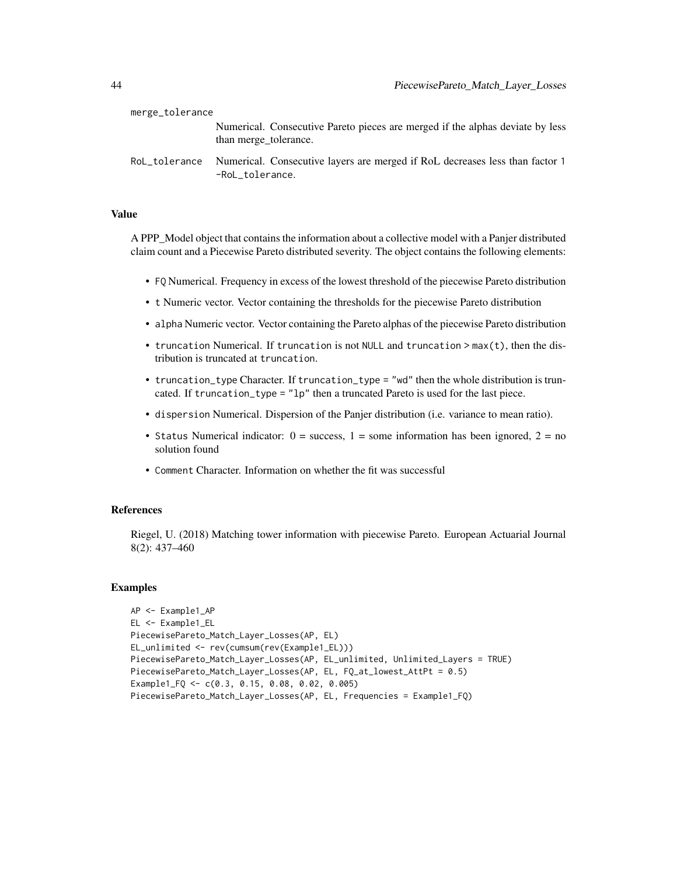| merge_tolerance |                                                                                                        |
|-----------------|--------------------------------------------------------------------------------------------------------|
|                 | Numerical. Consecutive Pareto pieces are merged if the alphas deviate by less<br>than merge_tolerance. |
| RoL_tolerance   | Numerical. Consecutive layers are merged if RoL decreases less than factor 1<br>-RoL tolerance.        |

#### Value

A PPP\_Model object that contains the information about a collective model with a Panjer distributed claim count and a Piecewise Pareto distributed severity. The object contains the following elements:

- FQ Numerical. Frequency in excess of the lowest threshold of the piecewise Pareto distribution
- t Numeric vector. Vector containing the thresholds for the piecewise Pareto distribution
- alpha Numeric vector. Vector containing the Pareto alphas of the piecewise Pareto distribution
- truncation Numerical. If truncation is not NULL and truncation > max(t), then the distribution is truncated at truncation.
- truncation\_type Character. If truncation\_type = "wd" then the whole distribution is truncated. If truncation\_type = "lp" then a truncated Pareto is used for the last piece.
- dispersion Numerical. Dispersion of the Panjer distribution (i.e. variance to mean ratio).
- Status Numerical indicator:  $0 =$  success,  $1 =$  some information has been ignored,  $2 =$  no solution found
- Comment Character. Information on whether the fit was successful

#### References

Riegel, U. (2018) Matching tower information with piecewise Pareto. European Actuarial Journal 8(2): 437–460

```
AP <- Example1_AP
EL <- Example1_EL
PiecewisePareto_Match_Layer_Losses(AP, EL)
EL_unlimited <- rev(cumsum(rev(Example1_EL)))
PiecewisePareto_Match_Layer_Losses(AP, EL_unlimited, Unlimited_Layers = TRUE)
PiecewisePareto_Match_Layer_Losses(AP, EL, FQ_at_lowest_AttPt = 0.5)
Example1_FQ <- c(0.3, 0.15, 0.08, 0.02, 0.005)
PiecewisePareto_Match_Layer_Losses(AP, EL, Frequencies = Example1_FQ)
```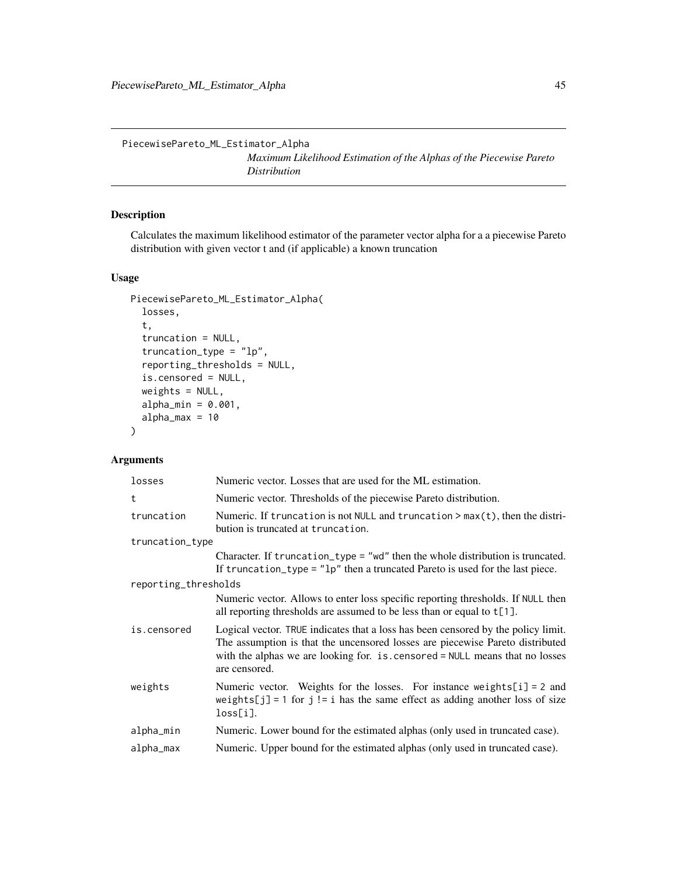<span id="page-44-0"></span>PiecewisePareto\_ML\_Estimator\_Alpha

*Maximum Likelihood Estimation of the Alphas of the Piecewise Pareto Distribution*

# Description

Calculates the maximum likelihood estimator of the parameter vector alpha for a a piecewise Pareto distribution with given vector t and (if applicable) a known truncation

# Usage

```
PiecewisePareto_ML_Estimator_Alpha(
  losses,
  t,
  truncation = NULL,
  truncation_type = "lp",
  reporting_thresholds = NULL,
  is.censored = NULL,
  weights = NULL,
  alpha_{min} = 0.001,alpha_max = 10)
```
#### Arguments

| losses               | Numeric vector. Losses that are used for the ML estimation.                                                                                                                                                                                                          |  |
|----------------------|----------------------------------------------------------------------------------------------------------------------------------------------------------------------------------------------------------------------------------------------------------------------|--|
| t                    | Numeric vector. Thresholds of the piecewise Pareto distribution.                                                                                                                                                                                                     |  |
| truncation           | Numeric. If truncation is not NULL and truncation $>$ max(t), then the distri-<br>bution is truncated at truncation.                                                                                                                                                 |  |
| truncation_type      |                                                                                                                                                                                                                                                                      |  |
|                      | Character. If truncation_type = "wd" then the whole distribution is truncated.<br>If truncation_type = $"lp"$ then a truncated Pareto is used for the last piece.                                                                                                    |  |
| reporting_thresholds |                                                                                                                                                                                                                                                                      |  |
|                      | Numeric vector. Allows to enter loss specific reporting thresholds. If NULL then<br>all reporting thresholds are assumed to be less than or equal to $t[1]$ .                                                                                                        |  |
| is.censored          | Logical vector. TRUE indicates that a loss has been censored by the policy limit.<br>The assumption is that the uncensored losses are piecewise Pareto distributed<br>with the alphas we are looking for. is . censored = NULL means that no losses<br>are censored. |  |
| weights              | Numeric vector. Weights for the losses. For instance weights $[i] = 2$ and<br>weights[j] = 1 for j != i has the same effect as adding another loss of size<br>$loss[i]$ .                                                                                            |  |
| alpha_min            | Numeric. Lower bound for the estimated alphas (only used in truncated case).                                                                                                                                                                                         |  |
| alpha_max            | Numeric. Upper bound for the estimated alphas (only used in truncated case).                                                                                                                                                                                         |  |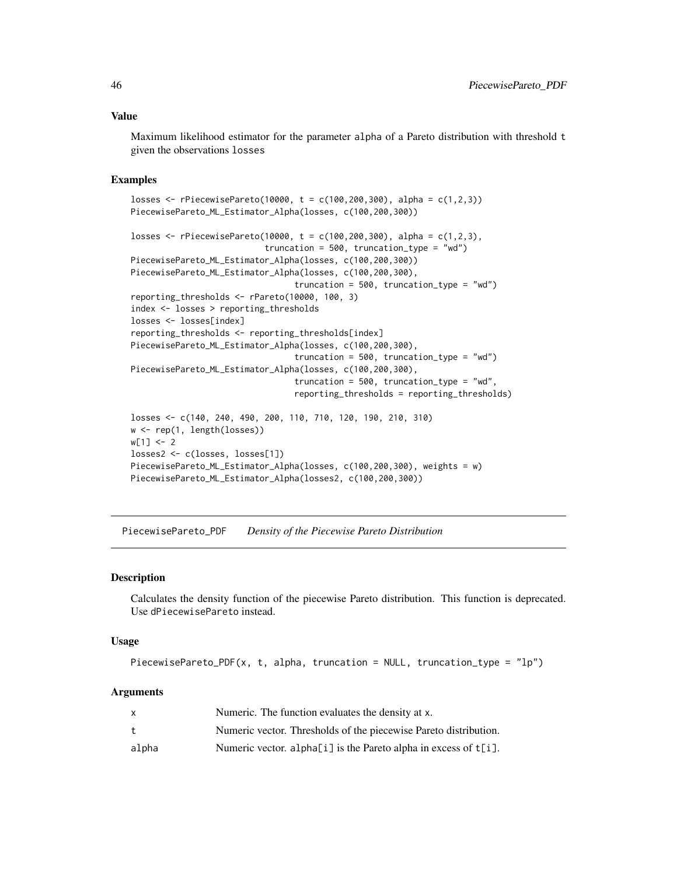#### <span id="page-45-0"></span>Value

Maximum likelihood estimator for the parameter alpha of a Pareto distribution with threshold t given the observations losses

#### Examples

```
losses <- rPiecewisePareto(10000, t = c(100,200,300), alpha = c(1,2,3))
PiecewisePareto_ML_Estimator_Alpha(losses, c(100,200,300))
losses <- rPiecewisePareto(10000, t = c(100,200,300), alpha = c(1,2,3),
                           truncation = 500, truncation_type = "wd")
PiecewisePareto_ML_Estimator_Alpha(losses, c(100,200,300))
PiecewisePareto_ML_Estimator_Alpha(losses, c(100,200,300),
                                 truncation = 500, truncation_type = "wd")
reporting_thresholds <- rPareto(10000, 100, 3)
index <- losses > reporting_thresholds
losses <- losses[index]
reporting_thresholds <- reporting_thresholds[index]
PiecewisePareto_ML_Estimator_Alpha(losses, c(100,200,300),
                                 truncation = 500, truncation_type = "wd")
PiecewisePareto_ML_Estimator_Alpha(losses, c(100,200,300),
                                 truncation = 500, truncation_type = "wd",
                                 reporting_thresholds = reporting_thresholds)
losses <- c(140, 240, 490, 200, 110, 710, 120, 190, 210, 310)
w <- rep(1, length(losses))
w[1] < -2losses2 <- c(losses, losses[1])
PiecewisePareto_ML_Estimator_Alpha(losses, c(100,200,300), weights = w)
PiecewisePareto_ML_Estimator_Alpha(losses2, c(100,200,300))
```
PiecewisePareto\_PDF *Density of the Piecewise Pareto Distribution*

#### Description

Calculates the density function of the piecewise Pareto distribution. This function is deprecated. Use dPiecewisePareto instead.

# Usage

PiecewisePareto\_PDF(x, t, alpha, truncation = NULL, truncation\_type =  $"lp"$ )

#### Arguments

|       | Numeric. The function evaluates the density at x.                  |
|-------|--------------------------------------------------------------------|
|       | Numeric vector. Thresholds of the piecewise Pareto distribution.   |
| alpha | Numeric vector. alpha[i] is the Pareto alpha in excess of $t[i]$ . |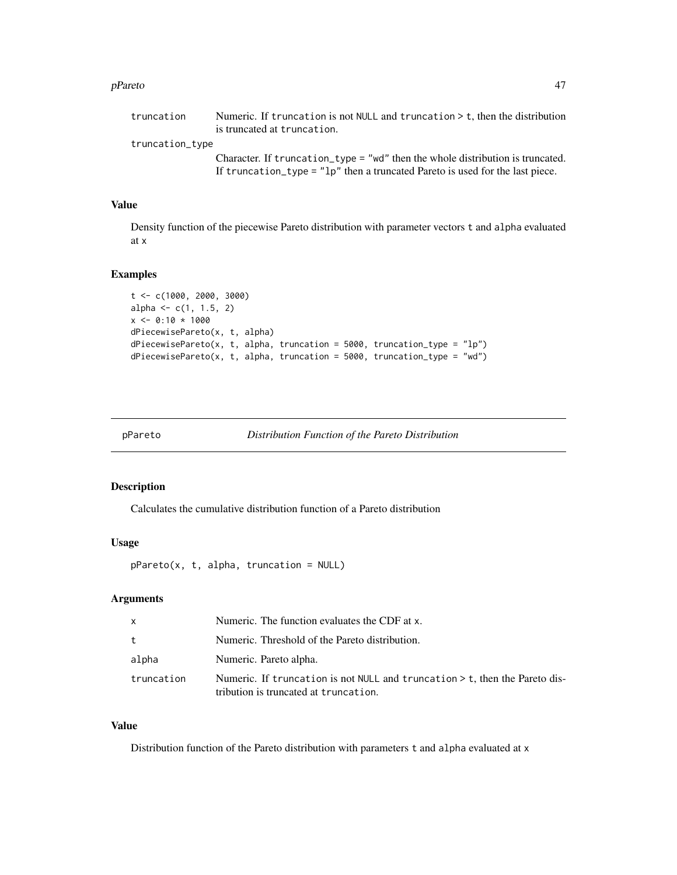#### <span id="page-46-0"></span>pPareto and the set of the set of the set of the set of the set of the set of the set of the set of the set of the set of the set of the set of the set of the set of the set of the set of the set of the set of the set of t

Character. If truncation\_type = "wd" then the whole distribution is truncated. If truncation\_type = "lp" then a truncated Pareto is used for the last piece.

# Value

Density function of the piecewise Pareto distribution with parameter vectors t and alpha evaluated at x

#### Examples

```
t <- c(1000, 2000, 3000)
alpha <-c(1, 1.5, 2)x \le -0:10 * 1000dPiecewisePareto(x, t, alpha)
dPiecewisePareto(x, t, alpha, truncation = 5000, truncation_type = "lp")dPiecewisePareto(x, t, alpha, truncation = 5000, truncation_type = "wd")
```
pPareto *Distribution Function of the Pareto Distribution*

#### Description

Calculates the cumulative distribution function of a Pareto distribution

#### Usage

 $p$ Pareto(x, t, alpha, truncation = NULL)

# Arguments

| $\mathsf{x}$ | Numeric. The function evaluates the CDF at x.                                                                          |
|--------------|------------------------------------------------------------------------------------------------------------------------|
| t            | Numeric. Threshold of the Pareto distribution.                                                                         |
| alpha        | Numeric. Pareto alpha.                                                                                                 |
| truncation   | Numeric. If truncation is not NULL and truncation $>$ t, then the Pareto dis-<br>tribution is truncated at truncation. |

#### Value

Distribution function of the Pareto distribution with parameters t and alpha evaluated at x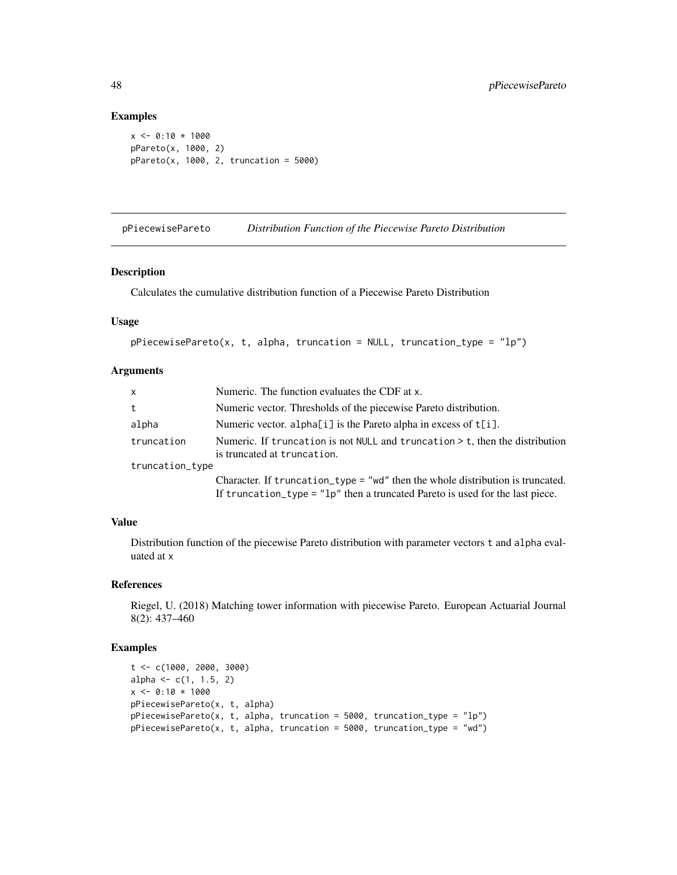#### Examples

```
x \le -0.10 \times 1000pPareto(x, 1000, 2)
pPareto(x, 1000, 2, truncation = 5000)
```
pPiecewisePareto *Distribution Function of the Piecewise Pareto Distribution*

# Description

Calculates the cumulative distribution function of a Piecewise Pareto Distribution

# Usage

```
pPiecewisePareto(x, t, alpha, truncation = NULL, truncation_type = "lp")
```
# Arguments

| $\mathsf{x}$    | Numeric. The function evaluates the CDF at x.                                                                                                                     |
|-----------------|-------------------------------------------------------------------------------------------------------------------------------------------------------------------|
| t               | Numeric vector. Thresholds of the piecewise Pareto distribution.                                                                                                  |
| alpha           | Numeric vector. alpha[i] is the Pareto alpha in excess of $t[i]$ .                                                                                                |
| truncation      | Numeric. If truncation is not NULL and truncation $>$ t, then the distribution<br>is truncated at truncation.                                                     |
| truncation_type |                                                                                                                                                                   |
|                 | Character. If truncation_type = "wd" then the whole distribution is truncated.<br>If truncation_type = $"lp"$ then a truncated Pareto is used for the last piece. |
|                 |                                                                                                                                                                   |

# Value

Distribution function of the piecewise Pareto distribution with parameter vectors t and alpha evaluated at x

# References

Riegel, U. (2018) Matching tower information with piecewise Pareto. European Actuarial Journal 8(2): 437–460

```
t <- c(1000, 2000, 3000)
alpha \leq c(1, 1.5, 2)x \le -0.10 \times 1000pPiecewisePareto(x, t, alpha)
pPiecewisePareto(x, t, alpha, truncation = 5000, truncation_type = "lp")
pPiecewisePareto(x, t, alpha, truncation = 5000, truncation_type = "wd")
```
<span id="page-47-0"></span>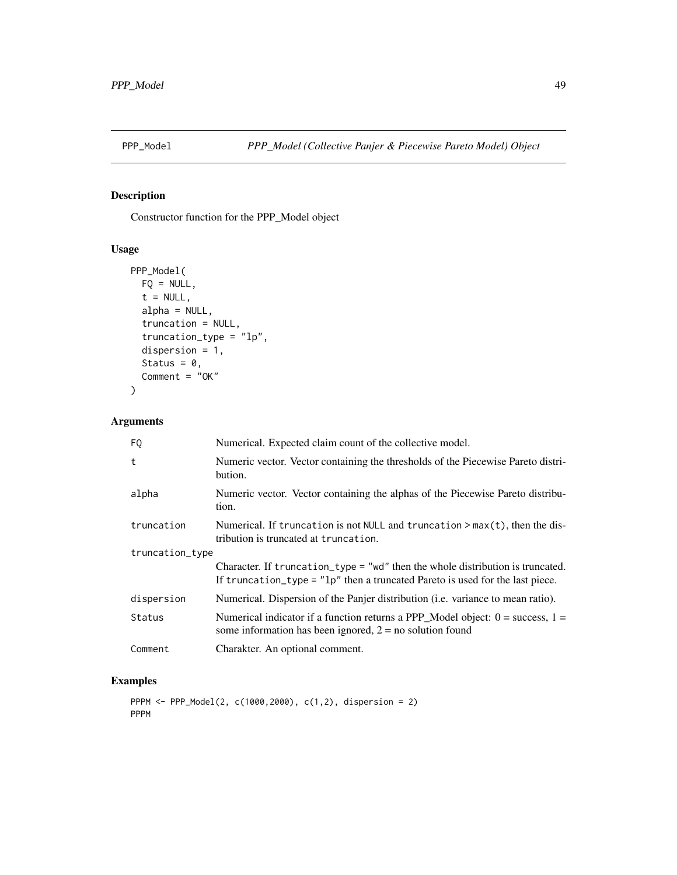<span id="page-48-0"></span>

# Description

Constructor function for the PPP\_Model object

# Usage

```
PPP_Model(
 FQ = NULL,t = NULL,alpha = NULL,
  truncation = NULL,
  truncation_type = "lp",
 dispersion = 1,
 Status = 0,Comment = "OK"
)
```
# Arguments

| FQ              | Numerical. Expected claim count of the collective model.                                                                                                          |  |
|-----------------|-------------------------------------------------------------------------------------------------------------------------------------------------------------------|--|
| t               | Numeric vector. Vector containing the thresholds of the Piecewise Pareto distri-<br>bution.                                                                       |  |
| alpha           | Numeric vector. Vector containing the alphas of the Piecewise Pareto distribu-<br>tion.                                                                           |  |
| truncation      | Numerical. If truncation is not NULL and truncation $> max(t)$ , then the dis-<br>tribution is truncated at truncation.                                           |  |
| truncation_type |                                                                                                                                                                   |  |
|                 | Character. If truncation_type = "wd" then the whole distribution is truncated.<br>If truncation_type = $"lp"$ then a truncated Pareto is used for the last piece. |  |
| dispersion      | Numerical. Dispersion of the Panjer distribution ( <i>i.e.</i> variance to mean ratio).                                                                           |  |
| Status          | Numerical indicator if a function returns a PPP_Model object: $0 =$ success, $1 =$<br>some information has been ignored, $2 = no$ solution found                  |  |
| Comment         | Charakter. An optional comment.                                                                                                                                   |  |

```
PPPM <- PPP_Model(2, c(1000,2000), c(1,2), dispersion = 2)
PPPM
```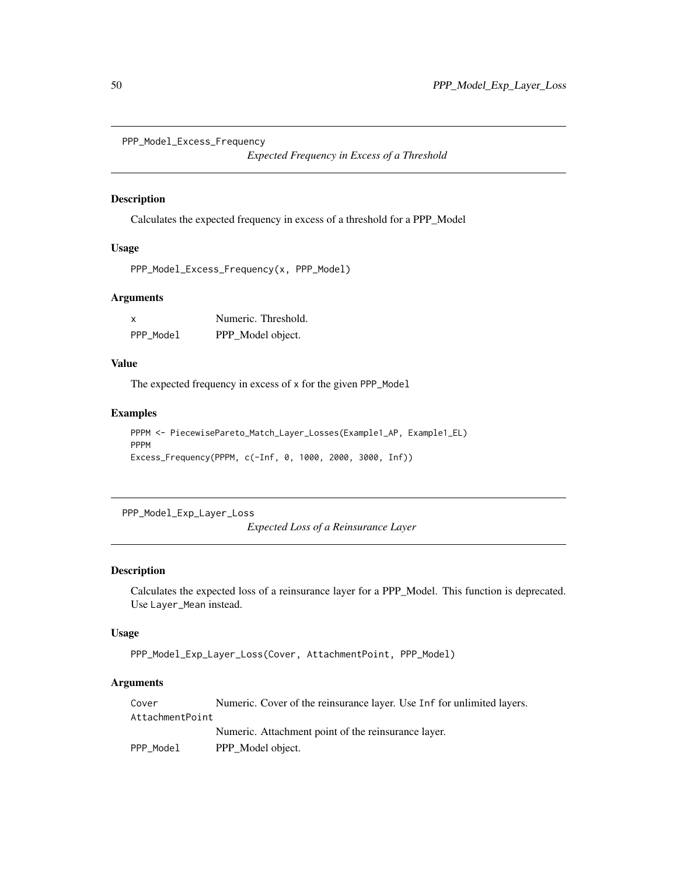```
PPP_Model_Excess_Frequency
```
*Expected Frequency in Excess of a Threshold*

# Description

Calculates the expected frequency in excess of a threshold for a PPP\_Model

# Usage

```
PPP_Model_Excess_Frequency(x, PPP_Model)
```
# Arguments

| x         | Numeric. Threshold. |
|-----------|---------------------|
| PPP Model | PPP_Model object.   |

#### Value

The expected frequency in excess of x for the given PPP\_Model

# Examples

```
PPPM <- PiecewisePareto_Match_Layer_Losses(Example1_AP, Example1_EL)
PPPM
Excess_Frequency(PPPM, c(-Inf, 0, 1000, 2000, 3000, Inf))
```
PPP\_Model\_Exp\_Layer\_Loss

*Expected Loss of a Reinsurance Layer*

### Description

Calculates the expected loss of a reinsurance layer for a PPP\_Model. This function is deprecated. Use Layer\_Mean instead.

#### Usage

PPP\_Model\_Exp\_Layer\_Loss(Cover, AttachmentPoint, PPP\_Model)

# Arguments

| Cover           | Numeric. Cover of the reinsurance layer. Use Inf for unlimited layers. |
|-----------------|------------------------------------------------------------------------|
| AttachmentPoint |                                                                        |
|                 | Numeric. Attachment point of the reinsurance layer.                    |
| PPP Model       | PPP Model object.                                                      |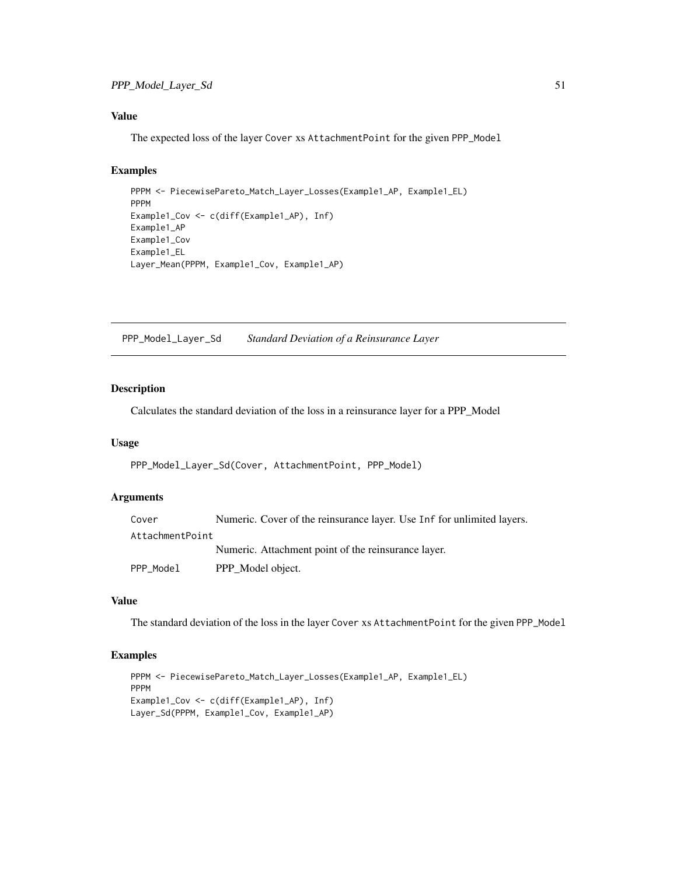# <span id="page-50-0"></span>Value

The expected loss of the layer Cover xs AttachmentPoint for the given PPP\_Model

# Examples

```
PPPM <- PiecewisePareto_Match_Layer_Losses(Example1_AP, Example1_EL)
PPPM
Example1_Cov <- c(diff(Example1_AP), Inf)
Example1_AP
Example1_Cov
Example1_EL
Layer_Mean(PPPM, Example1_Cov, Example1_AP)
```
PPP\_Model\_Layer\_Sd *Standard Deviation of a Reinsurance Layer*

# Description

Calculates the standard deviation of the loss in a reinsurance layer for a PPP\_Model

#### Usage

PPP\_Model\_Layer\_Sd(Cover, AttachmentPoint, PPP\_Model)

#### Arguments

| Cover           | Numeric. Cover of the reinsurance layer. Use Inf for unlimited layers. |
|-----------------|------------------------------------------------------------------------|
| AttachmentPoint |                                                                        |
|                 | Numeric. Attachment point of the reinsurance layer.                    |
| PPP_Model       | PPP_Model object.                                                      |

# Value

The standard deviation of the loss in the layer Cover xs AttachmentPoint for the given PPP\_Model

```
PPPM <- PiecewisePareto_Match_Layer_Losses(Example1_AP, Example1_EL)
PPPM
Example1_Cov <- c(diff(Example1_AP), Inf)
Layer_Sd(PPPM, Example1_Cov, Example1_AP)
```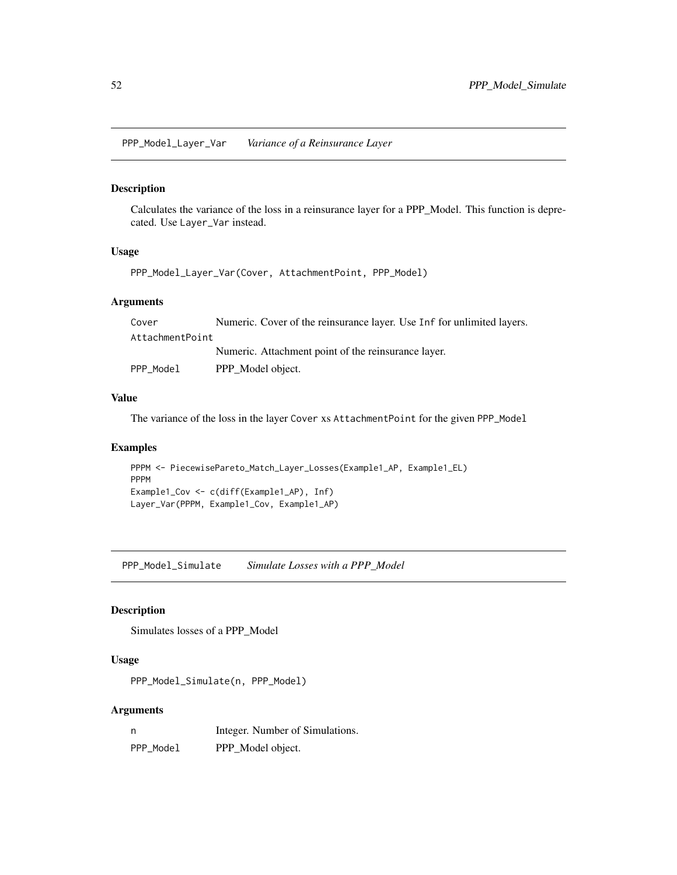<span id="page-51-0"></span>PPP\_Model\_Layer\_Var *Variance of a Reinsurance Layer*

# Description

Calculates the variance of the loss in a reinsurance layer for a PPP\_Model. This function is deprecated. Use Layer\_Var instead.

#### Usage

PPP\_Model\_Layer\_Var(Cover, AttachmentPoint, PPP\_Model)

# Arguments

| Cover           | Numeric. Cover of the reinsurance layer. Use Inf for unlimited layers. |
|-----------------|------------------------------------------------------------------------|
| AttachmentPoint |                                                                        |
|                 | Numeric. Attachment point of the reinsurance layer.                    |
| PPP Model       | PPP Model object.                                                      |

#### Value

The variance of the loss in the layer Cover xs AttachmentPoint for the given PPP\_Model

#### Examples

```
PPPM <- PiecewisePareto_Match_Layer_Losses(Example1_AP, Example1_EL)
PPPM
Example1_Cov <- c(diff(Example1_AP), Inf)
Layer_Var(PPPM, Example1_Cov, Example1_AP)
```
PPP\_Model\_Simulate *Simulate Losses with a PPP\_Model*

# Description

Simulates losses of a PPP\_Model

#### Usage

PPP\_Model\_Simulate(n, PPP\_Model)

# Arguments

| - n       | Integer. Number of Simulations. |
|-----------|---------------------------------|
| PPP Model | PPP_Model object.               |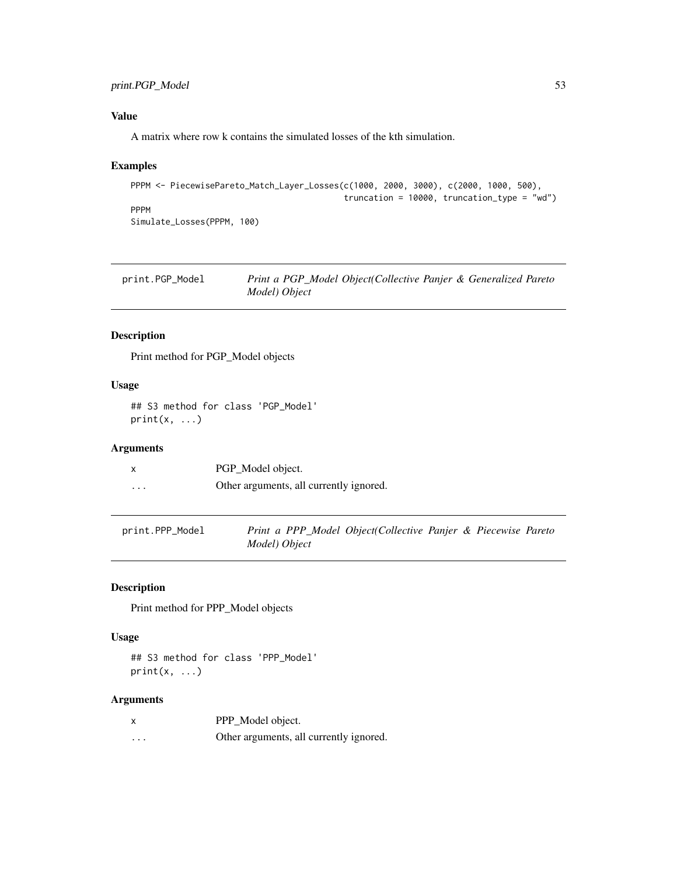# <span id="page-52-0"></span>print.PGP\_Model 53

# Value

A matrix where row k contains the simulated losses of the kth simulation.

# Examples

```
PPPM <- PiecewisePareto_Match_Layer_Losses(c(1000, 2000, 3000), c(2000, 1000, 500),
                                           truncation = 10000, truncation_type = "wd")
PPPM
Simulate_Losses(PPPM, 100)
```

| print.PGP_Model | Print a PGP_Model Object(Collective Panjer & Generalized Pareto |
|-----------------|-----------------------------------------------------------------|
|                 | Model) Object                                                   |

# Description

Print method for PGP\_Model objects

# Usage

## S3 method for class 'PGP\_Model'  $print(x, \ldots)$ 

#### Arguments

|          | PGP_Model object.                       |
|----------|-----------------------------------------|
| $\cdots$ | Other arguments, all currently ignored. |

| print.PPP_Model | Print a PPP_Model Object(Collective Panjer & Piecewise Pareto |  |  |  |
|-----------------|---------------------------------------------------------------|--|--|--|
|                 | Model) Object                                                 |  |  |  |

# Description

Print method for PPP\_Model objects

# Usage

## S3 method for class 'PPP\_Model'  $print(x, \ldots)$ 

#### Arguments

| x | PPP_Model object.                       |
|---|-----------------------------------------|
| . | Other arguments, all currently ignored. |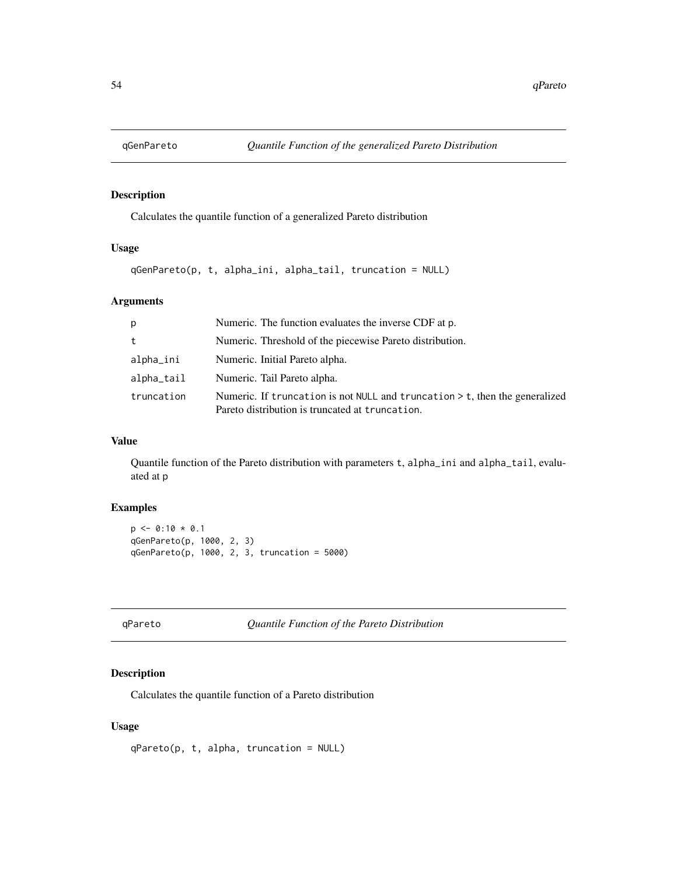<span id="page-53-0"></span>

# Description

Calculates the quantile function of a generalized Pareto distribution

# Usage

```
qGenPareto(p, t, alpha_ini, alpha_tail, truncation = NULL)
```
# Arguments

| p          | Numeric. The function evaluates the inverse CDF at p.                                                                            |
|------------|----------------------------------------------------------------------------------------------------------------------------------|
| t          | Numeric. Threshold of the piecewise Pareto distribution.                                                                         |
| alpha_ini  | Numeric. Initial Pareto alpha.                                                                                                   |
| alpha_tail | Numeric. Tail Pareto alpha.                                                                                                      |
| truncation | Numeric. If truncation is not NULL and truncation $>$ t, then the generalized<br>Pareto distribution is truncated at truncation. |

# Value

Quantile function of the Pareto distribution with parameters t, alpha\_ini and alpha\_tail, evaluated at p

# Examples

```
p \le -0:10 * 0.1qGenPareto(p, 1000, 2, 3)
qGenPareto(p, 1000, 2, 3, truncation = 5000)
```
qPareto *Quantile Function of the Pareto Distribution*

# Description

Calculates the quantile function of a Pareto distribution

#### Usage

qPareto(p, t, alpha, truncation = NULL)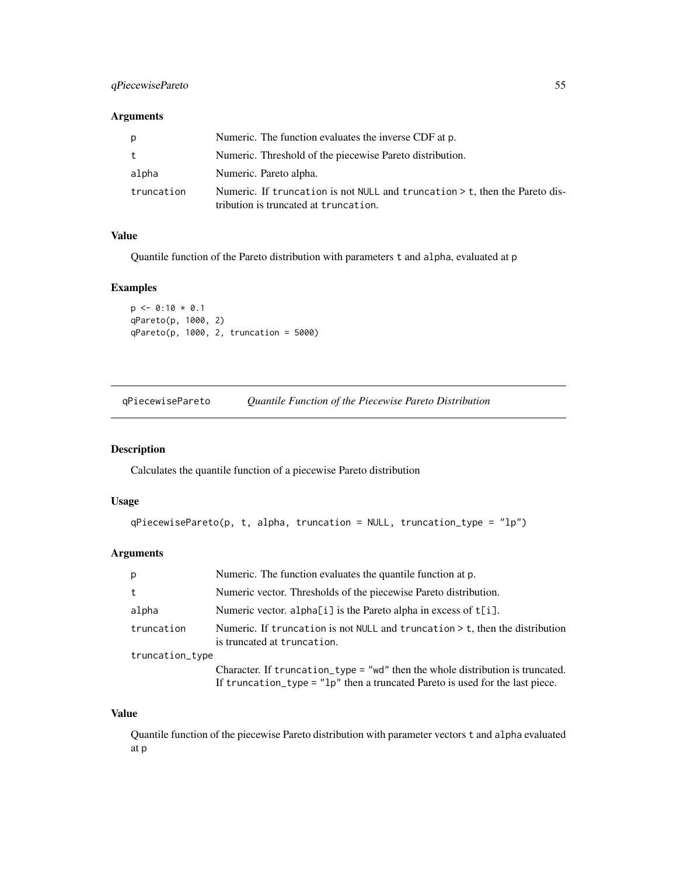# <span id="page-54-0"></span>qPiecewisePareto 55

### Arguments

| р          | Numeric. The function evaluates the inverse CDF at p.                                                                  |
|------------|------------------------------------------------------------------------------------------------------------------------|
| t          | Numeric. Threshold of the piecewise Pareto distribution.                                                               |
| alpha      | Numeric. Pareto alpha.                                                                                                 |
| truncation | Numeric. If truncation is not NULL and truncation $>$ t, then the Pareto dis-<br>tribution is truncated at truncation. |

## Value

Quantile function of the Pareto distribution with parameters t and alpha, evaluated at p

#### Examples

```
p \le -0:10 * 0.1qPareto(p, 1000, 2)
qPareto(p, 1000, 2, truncation = 5000)
```
qPiecewisePareto *Quantile Function of the Piecewise Pareto Distribution*

# Description

Calculates the quantile function of a piecewise Pareto distribution

#### Usage

```
qPiecewisePareto(p, t, alpha, truncation = NULL, truncation_type = "lp")
```
# Arguments

| p               | Numeric. The function evaluates the quantile function at p.                                                                                                       |
|-----------------|-------------------------------------------------------------------------------------------------------------------------------------------------------------------|
| t               | Numeric vector. Thresholds of the piecewise Pareto distribution.                                                                                                  |
| alpha           | Numeric vector. alpha[i] is the Pareto alpha in excess of t[i].                                                                                                   |
| truncation      | Numeric. If truncation is not NULL and truncation $>$ t, then the distribution<br>is truncated at truncation.                                                     |
| truncation_type |                                                                                                                                                                   |
|                 | Character. If truncation_type = "wd" then the whole distribution is truncated.<br>If truncation_type = $"lp"$ then a truncated Pareto is used for the last piece. |

#### Value

Quantile function of the piecewise Pareto distribution with parameter vectors t and alpha evaluated at p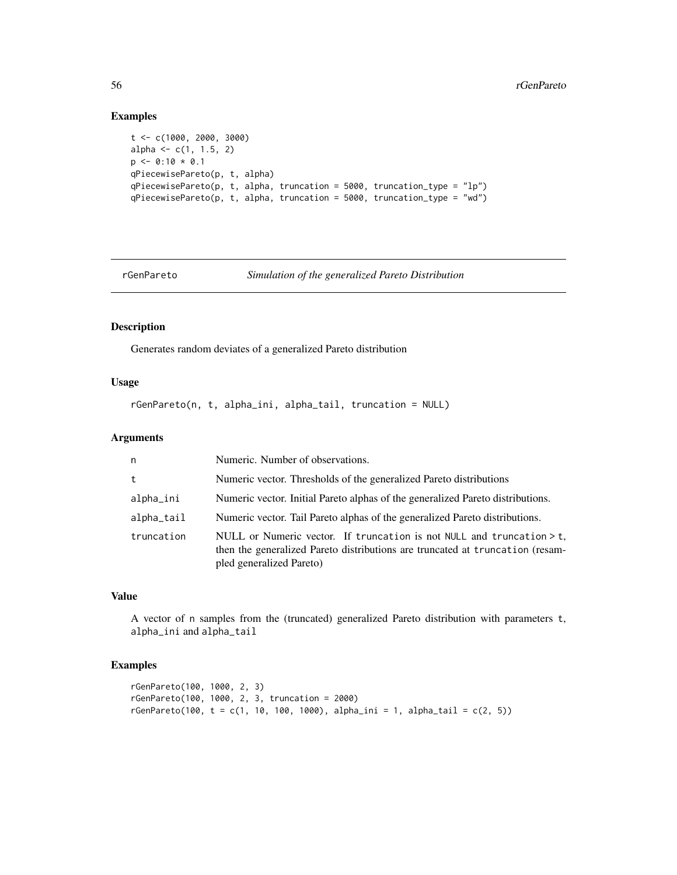# Examples

```
t <- c(1000, 2000, 3000)
alpha \leq c(1, 1.5, 2)p \leftarrow 0:10 * 0.1qPiecewisePareto(p, t, alpha)
qPiecewisePareto(p, t, alpha, truncation = 5000, truncation_type = "lp")
qPiecewisePareto(p, t, alpha, truncation = 5000, truncation_type = "wd")
```
rGenPareto *Simulation of the generalized Pareto Distribution*

# Description

Generates random deviates of a generalized Pareto distribution

# Usage

rGenPareto(n, t, alpha\_ini, alpha\_tail, truncation = NULL)

# Arguments

| n.         | Numeric. Number of observations.                                                                                                                                                      |
|------------|---------------------------------------------------------------------------------------------------------------------------------------------------------------------------------------|
| t          | Numeric vector. Thresholds of the generalized Pareto distributions                                                                                                                    |
| alpha_ini  | Numeric vector. Initial Pareto alphas of the generalized Pareto distributions.                                                                                                        |
| alpha_tail | Numeric vector. Tail Pareto alphas of the generalized Pareto distributions.                                                                                                           |
| truncation | NULL or Numeric vector. If truncation is not NULL and truncation $> t$ ,<br>then the generalized Pareto distributions are truncated at truncation (resam-<br>pled generalized Pareto) |

# Value

A vector of n samples from the (truncated) generalized Pareto distribution with parameters t, alpha\_ini and alpha\_tail

```
rGenPareto(100, 1000, 2, 3)
rGenPareto(100, 1000, 2, 3, truncation = 2000)
rGenPareto(100, t = c(1, 10, 100, 1000), alpha_ini = 1, alpha_tail = c(2, 5))
```
<span id="page-55-0"></span>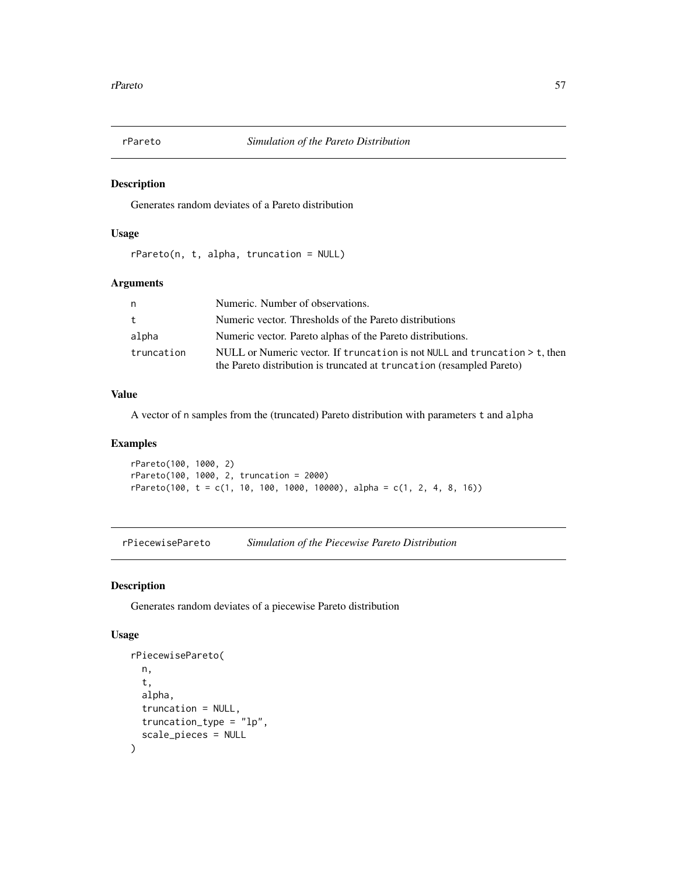<span id="page-56-0"></span>

# Description

Generates random deviates of a Pareto distribution

#### Usage

rPareto(n, t, alpha, truncation = NULL)

#### Arguments

| n          | Numeric. Number of observations.                                           |
|------------|----------------------------------------------------------------------------|
| t          | Numeric vector. Thresholds of the Pareto distributions                     |
| alpha      | Numeric vector. Pareto alphas of the Pareto distributions.                 |
| truncation | NULL or Numeric vector. If truncation is not NULL and truncation > t, then |
|            | the Pareto distribution is truncated at truncation (resampled Pareto)      |

#### Value

A vector of n samples from the (truncated) Pareto distribution with parameters t and alpha

# Examples

rPareto(100, 1000, 2) rPareto(100, 1000, 2, truncation = 2000)  $r$ Pareto(100, t = c(1, 10, 100, 1000, 10000), alpha = c(1, 2, 4, 8, 16))

rPiecewisePareto *Simulation of the Piecewise Pareto Distribution*

#### Description

Generates random deviates of a piecewise Pareto distribution

#### Usage

```
rPiecewisePareto(
  n,
  t,
  alpha,
  truncation = NULL,
  truncation_type = "lp",
  scale_pieces = NULL
\mathcal{E}
```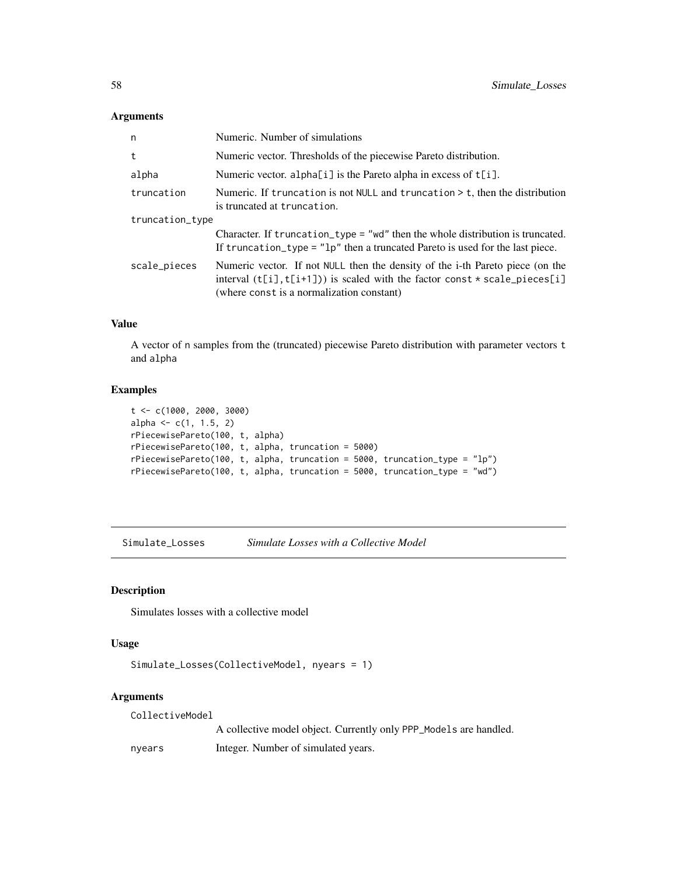# Arguments

| n               | Numeric. Number of simulations                                                                                                                                                                                      |
|-----------------|---------------------------------------------------------------------------------------------------------------------------------------------------------------------------------------------------------------------|
| t               | Numeric vector. Thresholds of the piecewise Pareto distribution.                                                                                                                                                    |
| alpha           | Numeric vector. alpha[i] is the Pareto alpha in excess of t[i].                                                                                                                                                     |
| truncation      | Numeric. If truncation is not NULL and truncation $>$ t, then the distribution<br>is truncated at truncation.                                                                                                       |
| truncation_type |                                                                                                                                                                                                                     |
|                 | Character. If $truncation_type = "wd"$ then the whole distribution is truncated.<br>If truncation_type = $"lp"$ then a truncated Pareto is used for the last piece.                                                 |
| scale_pieces    | Numeric vector. If not NULL then the density of the <i>i</i> -th Pareto piece (on the<br>interval $(t[i], t[i+1])$ is scaled with the factor const $*$ scale_pieces[i]<br>(where const is a normalization constant) |

#### Value

A vector of n samples from the (truncated) piecewise Pareto distribution with parameter vectors t and alpha

# Examples

```
t <- c(1000, 2000, 3000)
alpha \leq c(1, 1.5, 2)rPiecewisePareto(100, t, alpha)
rPiecewisePareto(100, t, alpha, truncation = 5000)
rPiecewisePareto(100, t, alpha, truncation = 5000, truncation_type = "lp")
rPiecewisePareto(100, t, alpha, truncation = 5000, truncation_type = "wd")
```
Simulate\_Losses *Simulate Losses with a Collective Model*

# Description

Simulates losses with a collective model

# Usage

```
Simulate_Losses(CollectiveModel, nyears = 1)
```
#### Arguments

CollectiveModel

A collective model object. Currently only PPP\_Models are handled.

nyears Integer. Number of simulated years.

<span id="page-57-0"></span>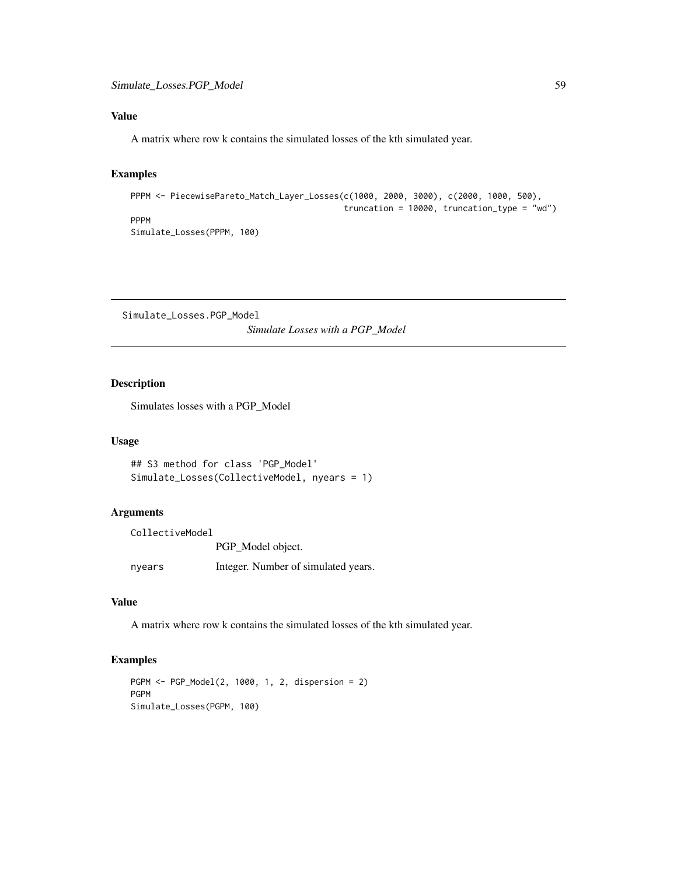# <span id="page-58-0"></span>Value

A matrix where row k contains the simulated losses of the kth simulated year.

# Examples

```
PPPM <- PiecewisePareto_Match_Layer_Losses(c(1000, 2000, 3000), c(2000, 1000, 500),
                                           truncation = 10000, truncation_type = "wd")
PPPM
Simulate_Losses(PPPM, 100)
```
Simulate\_Losses.PGP\_Model *Simulate Losses with a PGP\_Model*

# Description

Simulates losses with a PGP\_Model

#### Usage

```
## S3 method for class 'PGP_Model'
Simulate_Losses(CollectiveModel, nyears = 1)
```
#### Arguments

| CollectiveModel |                                     |
|-----------------|-------------------------------------|
|                 | PGP_Model object.                   |
| nyears          | Integer. Number of simulated years. |

# Value

A matrix where row k contains the simulated losses of the kth simulated year.

```
PGPM <- PGP_Model(2, 1000, 1, 2, dispersion = 2)
PGPM
Simulate_Losses(PGPM, 100)
```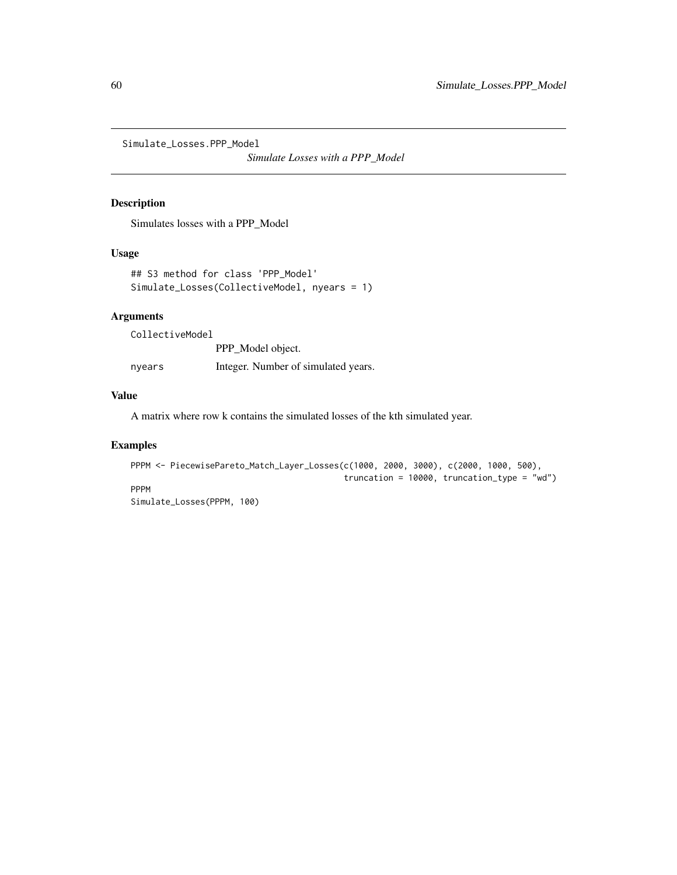<span id="page-59-0"></span>Simulate\_Losses.PPP\_Model

*Simulate Losses with a PPP\_Model*

# Description

Simulates losses with a PPP\_Model

#### Usage

```
## S3 method for class 'PPP_Model'
Simulate_Losses(CollectiveModel, nyears = 1)
```
# Arguments

CollectiveModel

PPP\_Model object. nyears Integer. Number of simulated years.

# Value

A matrix where row k contains the simulated losses of the kth simulated year.

```
PPPM <- PiecewisePareto_Match_Layer_Losses(c(1000, 2000, 3000), c(2000, 1000, 500),
                                           truncation = 10000, truncation_type = "wd")
PPPM
Simulate_Losses(PPPM, 100)
```